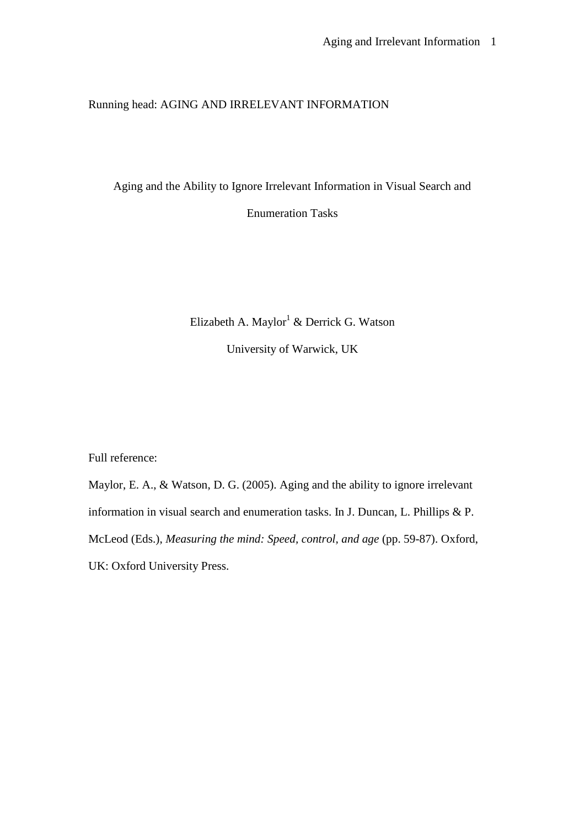### Running head: AGING AND IRRELEVANT INFORMATION

Aging and the Ability to Ignore Irrelevant Information in Visual Search and

Enumeration Tasks

Elizabeth A. Maylor<sup>1</sup> & Derrick G. Watson

University of Warwick, UK

Full reference:

Maylor, E. A., & Watson, D. G. (2005). Aging and the ability to ignore irrelevant information in visual search and enumeration tasks. In J. Duncan, L. Phillips & P. McLeod (Eds.), *Measuring the mind: Speed, control, and age* (pp. 59-87). Oxford, UK: Oxford University Press.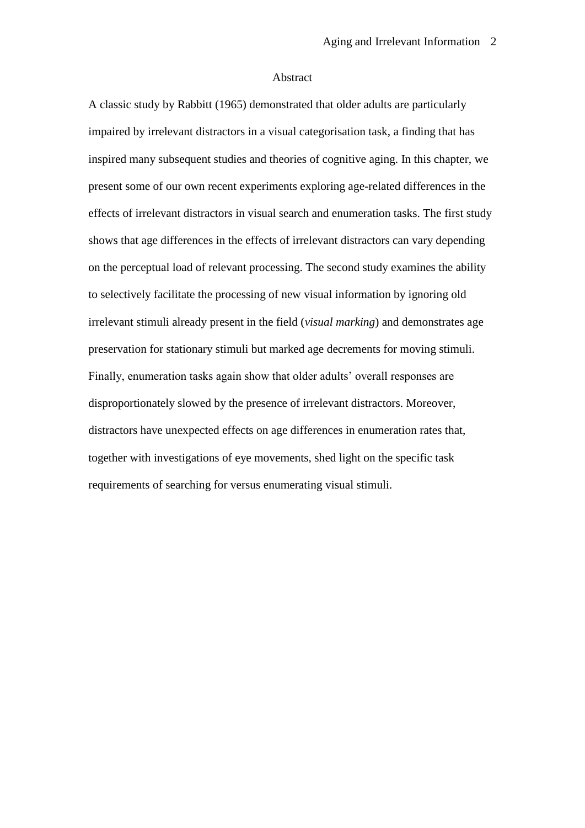#### Abstract

A classic study by Rabbitt (1965) demonstrated that older adults are particularly impaired by irrelevant distractors in a visual categorisation task, a finding that has inspired many subsequent studies and theories of cognitive aging. In this chapter, we present some of our own recent experiments exploring age-related differences in the effects of irrelevant distractors in visual search and enumeration tasks. The first study shows that age differences in the effects of irrelevant distractors can vary depending on the perceptual load of relevant processing. The second study examines the ability to selectively facilitate the processing of new visual information by ignoring old irrelevant stimuli already present in the field (*visual marking*) and demonstrates age preservation for stationary stimuli but marked age decrements for moving stimuli. Finally, enumeration tasks again show that older adults' overall responses are disproportionately slowed by the presence of irrelevant distractors. Moreover, distractors have unexpected effects on age differences in enumeration rates that, together with investigations of eye movements, shed light on the specific task requirements of searching for versus enumerating visual stimuli.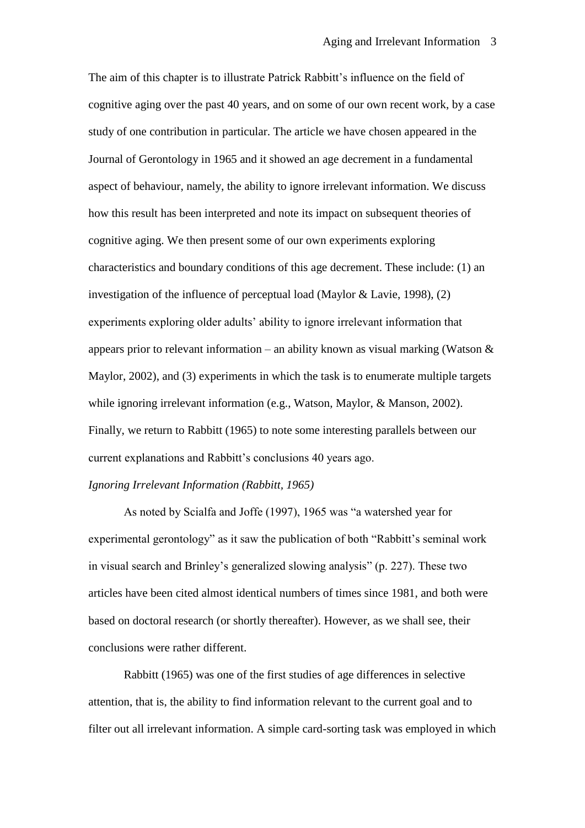The aim of this chapter is to illustrate Patrick Rabbitt's influence on the field of cognitive aging over the past 40 years, and on some of our own recent work, by a case study of one contribution in particular. The article we have chosen appeared in the Journal of Gerontology in 1965 and it showed an age decrement in a fundamental aspect of behaviour, namely, the ability to ignore irrelevant information. We discuss how this result has been interpreted and note its impact on subsequent theories of cognitive aging. We then present some of our own experiments exploring characteristics and boundary conditions of this age decrement. These include: (1) an investigation of the influence of perceptual load (Maylor & Lavie, 1998), (2) experiments exploring older adults' ability to ignore irrelevant information that appears prior to relevant information – an ability known as visual marking (Watson  $\&$ Maylor, 2002), and (3) experiments in which the task is to enumerate multiple targets while ignoring irrelevant information (e.g., Watson, Maylor, & Manson, 2002). Finally, we return to Rabbitt (1965) to note some interesting parallels between our current explanations and Rabbitt's conclusions 40 years ago.

### *Ignoring Irrelevant Information (Rabbitt, 1965)*

As noted by Scialfa and Joffe (1997), 1965 was "a watershed year for experimental gerontology" as it saw the publication of both "Rabbitt's seminal work in visual search and Brinley"s generalized slowing analysis" (p. 227). These two articles have been cited almost identical numbers of times since 1981, and both were based on doctoral research (or shortly thereafter). However, as we shall see, their conclusions were rather different.

Rabbitt (1965) was one of the first studies of age differences in selective attention, that is, the ability to find information relevant to the current goal and to filter out all irrelevant information. A simple card-sorting task was employed in which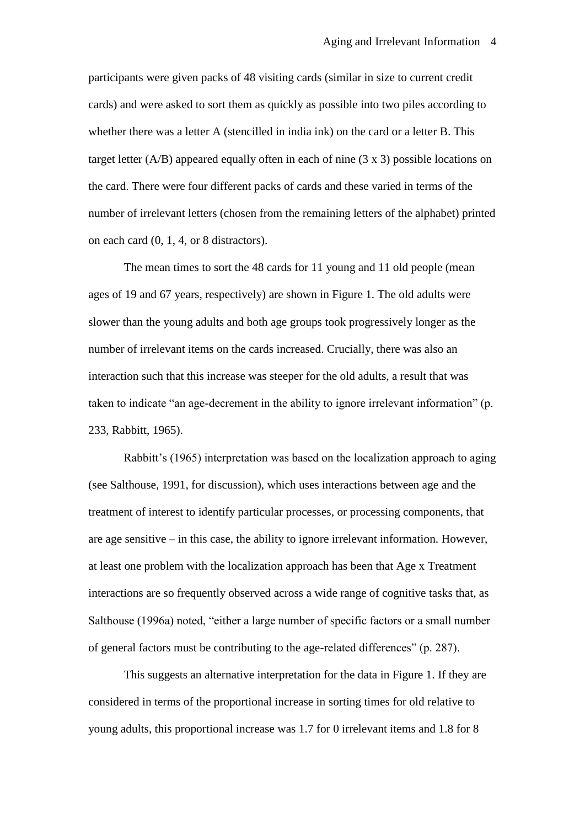participants were given packs of 48 visiting cards (similar in size to current credit cards) and were asked to sort them as quickly as possible into two piles according to whether there was a letter A (stencilled in india ink) on the card or a letter B. This target letter (A/B) appeared equally often in each of nine (3 x 3) possible locations on the card. There were four different packs of cards and these varied in terms of the number of irrelevant letters (chosen from the remaining letters of the alphabet) printed on each card (0, 1, 4, or 8 distractors).

The mean times to sort the 48 cards for 11 young and 11 old people (mean ages of 19 and 67 years, respectively) are shown in Figure 1. The old adults were slower than the young adults and both age groups took progressively longer as the number of irrelevant items on the cards increased. Crucially, there was also an interaction such that this increase was steeper for the old adults, a result that was taken to indicate "an age-decrement in the ability to ignore irrelevant information" (p. 233, Rabbitt, 1965).

Rabbitt"s (1965) interpretation was based on the localization approach to aging (see Salthouse, 1991, for discussion), which uses interactions between age and the treatment of interest to identify particular processes, or processing components, that are age sensitive – in this case, the ability to ignore irrelevant information. However, at least one problem with the localization approach has been that Age x Treatment interactions are so frequently observed across a wide range of cognitive tasks that, as Salthouse (1996a) noted, "either a large number of specific factors or a small number of general factors must be contributing to the age-related differences" (p. 287).

This suggests an alternative interpretation for the data in Figure 1. If they are considered in terms of the proportional increase in sorting times for old relative to young adults, this proportional increase was 1.7 for 0 irrelevant items and 1.8 for 8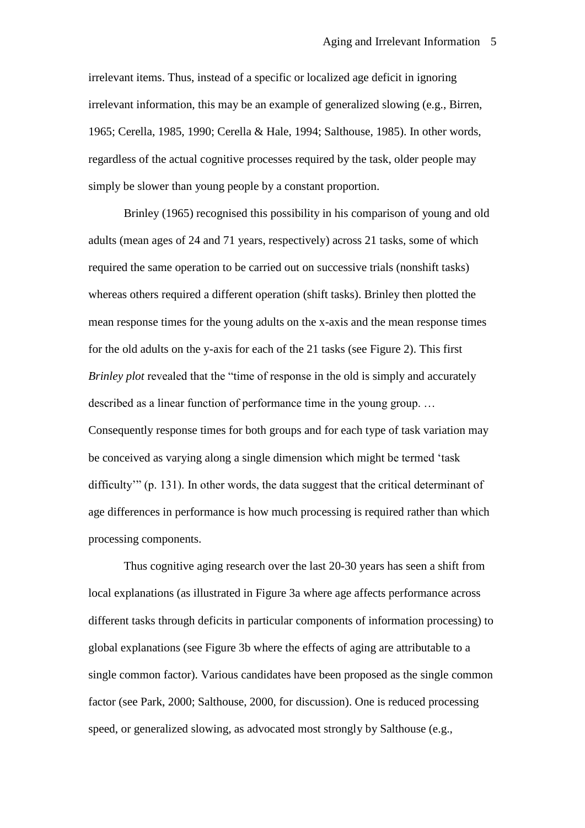irrelevant items. Thus, instead of a specific or localized age deficit in ignoring irrelevant information, this may be an example of generalized slowing (e.g., Birren, 1965; Cerella, 1985, 1990; Cerella & Hale, 1994; Salthouse, 1985). In other words, regardless of the actual cognitive processes required by the task, older people may simply be slower than young people by a constant proportion.

Brinley (1965) recognised this possibility in his comparison of young and old adults (mean ages of 24 and 71 years, respectively) across 21 tasks, some of which required the same operation to be carried out on successive trials (nonshift tasks) whereas others required a different operation (shift tasks). Brinley then plotted the mean response times for the young adults on the x-axis and the mean response times for the old adults on the y-axis for each of the 21 tasks (see Figure 2). This first *Brinley plot* revealed that the "time of response in the old is simply and accurately described as a linear function of performance time in the young group. … Consequently response times for both groups and for each type of task variation may be conceived as varying along a single dimension which might be termed "task difficulty"" (p. 131). In other words, the data suggest that the critical determinant of age differences in performance is how much processing is required rather than which processing components.

Thus cognitive aging research over the last 20-30 years has seen a shift from local explanations (as illustrated in Figure 3a where age affects performance across different tasks through deficits in particular components of information processing) to global explanations (see Figure 3b where the effects of aging are attributable to a single common factor). Various candidates have been proposed as the single common factor (see Park, 2000; Salthouse, 2000, for discussion). One is reduced processing speed, or generalized slowing, as advocated most strongly by Salthouse (e.g.,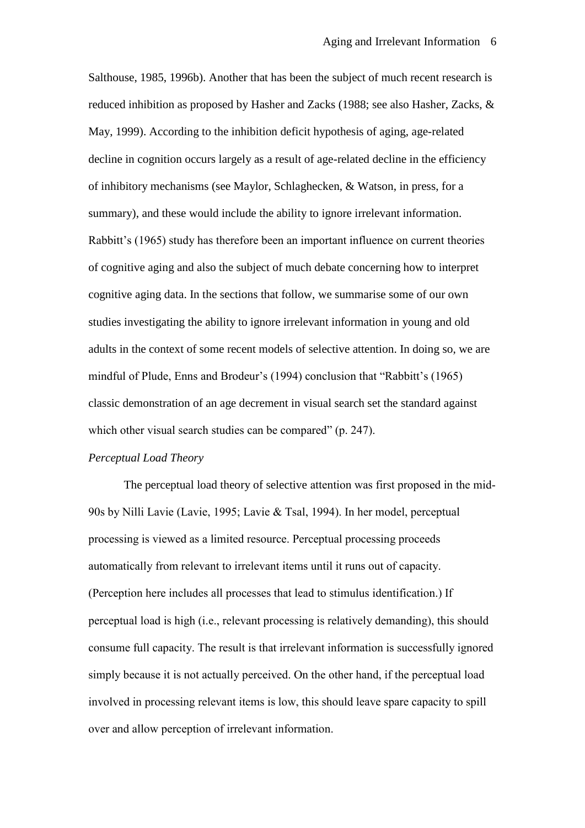Salthouse, 1985, 1996b). Another that has been the subject of much recent research is reduced inhibition as proposed by Hasher and Zacks (1988; see also Hasher, Zacks, & May, 1999). According to the inhibition deficit hypothesis of aging, age-related decline in cognition occurs largely as a result of age-related decline in the efficiency of inhibitory mechanisms (see Maylor, Schlaghecken, & Watson, in press, for a summary), and these would include the ability to ignore irrelevant information. Rabbitt"s (1965) study has therefore been an important influence on current theories of cognitive aging and also the subject of much debate concerning how to interpret cognitive aging data. In the sections that follow, we summarise some of our own studies investigating the ability to ignore irrelevant information in young and old adults in the context of some recent models of selective attention. In doing so, we are mindful of Plude, Enns and Brodeur's (1994) conclusion that "Rabbitt's (1965) classic demonstration of an age decrement in visual search set the standard against which other visual search studies can be compared" (p. 247).

### *Perceptual Load Theory*

The perceptual load theory of selective attention was first proposed in the mid-90s by Nilli Lavie (Lavie, 1995; Lavie & Tsal, 1994). In her model, perceptual processing is viewed as a limited resource. Perceptual processing proceeds automatically from relevant to irrelevant items until it runs out of capacity. (Perception here includes all processes that lead to stimulus identification.) If perceptual load is high (i.e., relevant processing is relatively demanding), this should consume full capacity. The result is that irrelevant information is successfully ignored simply because it is not actually perceived. On the other hand, if the perceptual load involved in processing relevant items is low, this should leave spare capacity to spill over and allow perception of irrelevant information.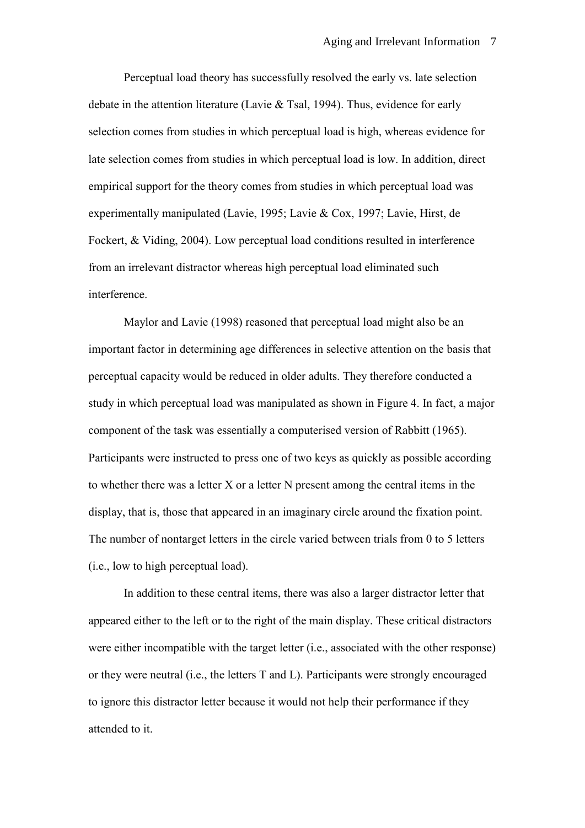Perceptual load theory has successfully resolved the early vs. late selection debate in the attention literature (Lavie & Tsal, 1994). Thus, evidence for early selection comes from studies in which perceptual load is high, whereas evidence for late selection comes from studies in which perceptual load is low. In addition, direct empirical support for the theory comes from studies in which perceptual load was experimentally manipulated (Lavie, 1995; Lavie & Cox, 1997; Lavie, Hirst, de Fockert, & Viding, 2004). Low perceptual load conditions resulted in interference from an irrelevant distractor whereas high perceptual load eliminated such interference.

Maylor and Lavie (1998) reasoned that perceptual load might also be an important factor in determining age differences in selective attention on the basis that perceptual capacity would be reduced in older adults. They therefore conducted a study in which perceptual load was manipulated as shown in Figure 4. In fact, a major component of the task was essentially a computerised version of Rabbitt (1965). Participants were instructed to press one of two keys as quickly as possible according to whether there was a letter X or a letter N present among the central items in the display, that is, those that appeared in an imaginary circle around the fixation point. The number of nontarget letters in the circle varied between trials from 0 to 5 letters (i.e., low to high perceptual load).

In addition to these central items, there was also a larger distractor letter that appeared either to the left or to the right of the main display. These critical distractors were either incompatible with the target letter (i.e., associated with the other response) or they were neutral (i.e., the letters T and L). Participants were strongly encouraged to ignore this distractor letter because it would not help their performance if they attended to it.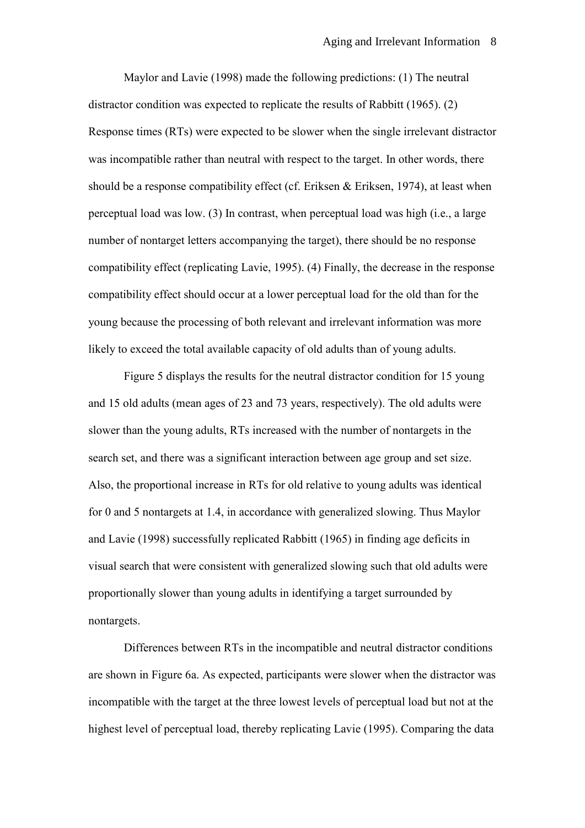Maylor and Lavie (1998) made the following predictions: (1) The neutral distractor condition was expected to replicate the results of Rabbitt (1965). (2) Response times (RTs) were expected to be slower when the single irrelevant distractor was incompatible rather than neutral with respect to the target. In other words, there should be a response compatibility effect (cf. Eriksen & Eriksen, 1974), at least when perceptual load was low. (3) In contrast, when perceptual load was high (i.e., a large number of nontarget letters accompanying the target), there should be no response compatibility effect (replicating Lavie, 1995). (4) Finally, the decrease in the response compatibility effect should occur at a lower perceptual load for the old than for the young because the processing of both relevant and irrelevant information was more likely to exceed the total available capacity of old adults than of young adults.

Figure 5 displays the results for the neutral distractor condition for 15 young and 15 old adults (mean ages of 23 and 73 years, respectively). The old adults were slower than the young adults, RTs increased with the number of nontargets in the search set, and there was a significant interaction between age group and set size. Also, the proportional increase in RTs for old relative to young adults was identical for 0 and 5 nontargets at 1.4, in accordance with generalized slowing. Thus Maylor and Lavie (1998) successfully replicated Rabbitt (1965) in finding age deficits in visual search that were consistent with generalized slowing such that old adults were proportionally slower than young adults in identifying a target surrounded by nontargets.

Differences between RTs in the incompatible and neutral distractor conditions are shown in Figure 6a. As expected, participants were slower when the distractor was incompatible with the target at the three lowest levels of perceptual load but not at the highest level of perceptual load, thereby replicating Lavie (1995). Comparing the data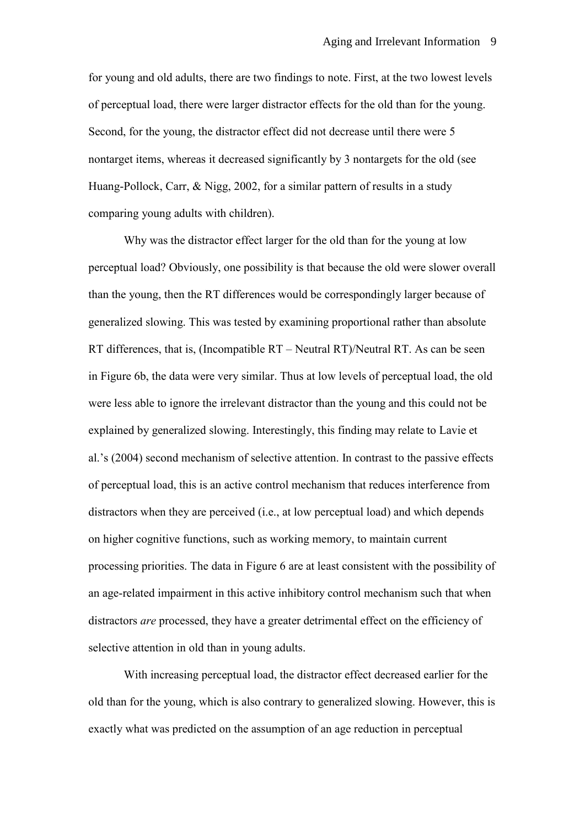for young and old adults, there are two findings to note. First, at the two lowest levels of perceptual load, there were larger distractor effects for the old than for the young. Second, for the young, the distractor effect did not decrease until there were 5 nontarget items, whereas it decreased significantly by 3 nontargets for the old (see Huang-Pollock, Carr, & Nigg, 2002, for a similar pattern of results in a study comparing young adults with children).

Why was the distractor effect larger for the old than for the young at low perceptual load? Obviously, one possibility is that because the old were slower overall than the young, then the RT differences would be correspondingly larger because of generalized slowing. This was tested by examining proportional rather than absolute RT differences, that is, (Incompatible RT – Neutral RT)/Neutral RT. As can be seen in Figure 6b, the data were very similar. Thus at low levels of perceptual load, the old were less able to ignore the irrelevant distractor than the young and this could not be explained by generalized slowing. Interestingly, this finding may relate to Lavie et al.'s (2004) second mechanism of selective attention. In contrast to the passive effects of perceptual load, this is an active control mechanism that reduces interference from distractors when they are perceived (i.e., at low perceptual load) and which depends on higher cognitive functions, such as working memory, to maintain current processing priorities. The data in Figure 6 are at least consistent with the possibility of an age-related impairment in this active inhibitory control mechanism such that when distractors *are* processed, they have a greater detrimental effect on the efficiency of selective attention in old than in young adults.

With increasing perceptual load, the distractor effect decreased earlier for the old than for the young, which is also contrary to generalized slowing. However, this is exactly what was predicted on the assumption of an age reduction in perceptual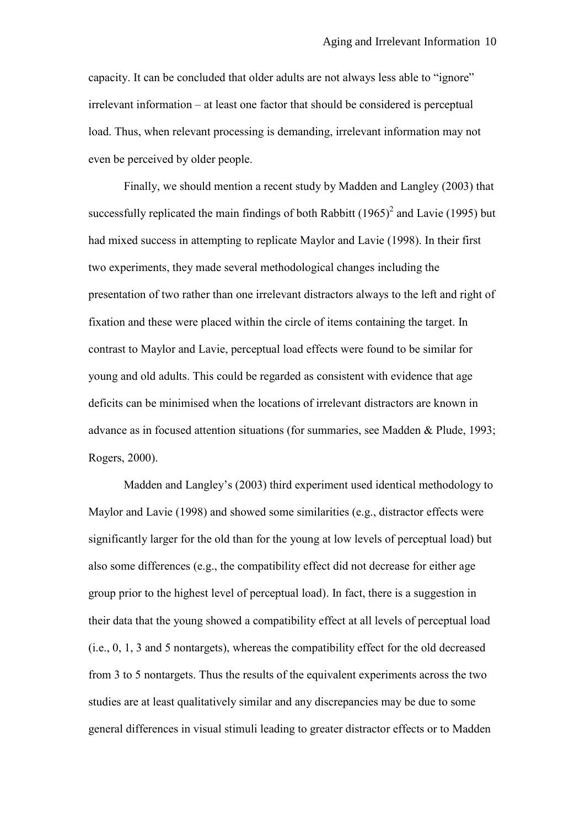capacity. It can be concluded that older adults are not always less able to "ignore" irrelevant information – at least one factor that should be considered is perceptual load. Thus, when relevant processing is demanding, irrelevant information may not even be perceived by older people.

Finally, we should mention a recent study by Madden and Langley (2003) that successfully replicated the main findings of both Rabbitt  $(1965)^2$  and Lavie (1995) but had mixed success in attempting to replicate Maylor and Lavie (1998). In their first two experiments, they made several methodological changes including the presentation of two rather than one irrelevant distractors always to the left and right of fixation and these were placed within the circle of items containing the target. In contrast to Maylor and Lavie, perceptual load effects were found to be similar for young and old adults. This could be regarded as consistent with evidence that age deficits can be minimised when the locations of irrelevant distractors are known in advance as in focused attention situations (for summaries, see Madden & Plude, 1993; Rogers, 2000).

Madden and Langley's (2003) third experiment used identical methodology to Maylor and Lavie (1998) and showed some similarities (e.g., distractor effects were significantly larger for the old than for the young at low levels of perceptual load) but also some differences (e.g., the compatibility effect did not decrease for either age group prior to the highest level of perceptual load). In fact, there is a suggestion in their data that the young showed a compatibility effect at all levels of perceptual load (i.e., 0, 1, 3 and 5 nontargets), whereas the compatibility effect for the old decreased from 3 to 5 nontargets. Thus the results of the equivalent experiments across the two studies are at least qualitatively similar and any discrepancies may be due to some general differences in visual stimuli leading to greater distractor effects or to Madden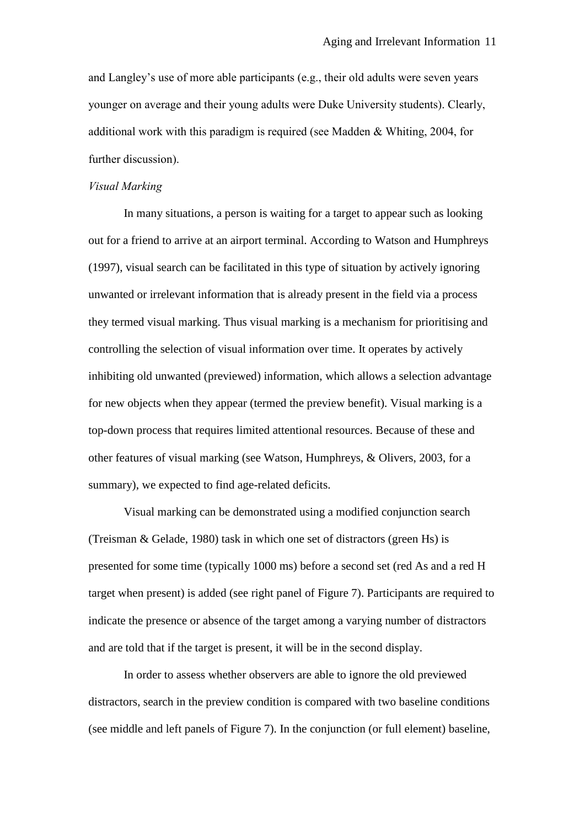and Langley's use of more able participants (e.g., their old adults were seven years younger on average and their young adults were Duke University students). Clearly, additional work with this paradigm is required (see Madden & Whiting, 2004, for further discussion).

#### *Visual Marking*

In many situations, a person is waiting for a target to appear such as looking out for a friend to arrive at an airport terminal. According to Watson and Humphreys (1997), visual search can be facilitated in this type of situation by actively ignoring unwanted or irrelevant information that is already present in the field via a process they termed visual marking. Thus visual marking is a mechanism for prioritising and controlling the selection of visual information over time. It operates by actively inhibiting old unwanted (previewed) information, which allows a selection advantage for new objects when they appear (termed the preview benefit). Visual marking is a top-down process that requires limited attentional resources. Because of these and other features of visual marking (see Watson, Humphreys, & Olivers, 2003, for a summary), we expected to find age-related deficits.

Visual marking can be demonstrated using a modified conjunction search (Treisman & Gelade, 1980) task in which one set of distractors (green Hs) is presented for some time (typically 1000 ms) before a second set (red As and a red H target when present) is added (see right panel of Figure 7). Participants are required to indicate the presence or absence of the target among a varying number of distractors and are told that if the target is present, it will be in the second display.

In order to assess whether observers are able to ignore the old previewed distractors, search in the preview condition is compared with two baseline conditions (see middle and left panels of Figure 7). In the conjunction (or full element) baseline,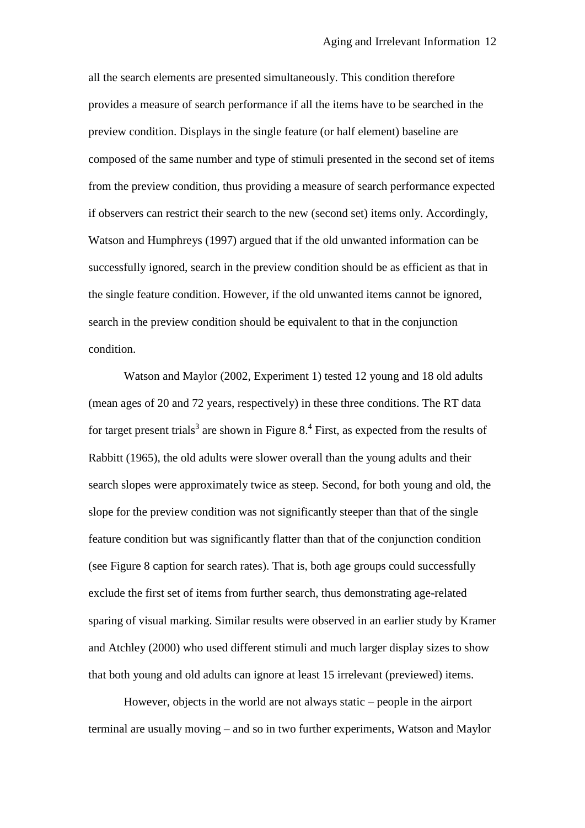all the search elements are presented simultaneously. This condition therefore provides a measure of search performance if all the items have to be searched in the preview condition. Displays in the single feature (or half element) baseline are composed of the same number and type of stimuli presented in the second set of items from the preview condition, thus providing a measure of search performance expected if observers can restrict their search to the new (second set) items only. Accordingly, Watson and Humphreys (1997) argued that if the old unwanted information can be successfully ignored, search in the preview condition should be as efficient as that in the single feature condition. However, if the old unwanted items cannot be ignored, search in the preview condition should be equivalent to that in the conjunction condition.

Watson and Maylor (2002, Experiment 1) tested 12 young and 18 old adults (mean ages of 20 and 72 years, respectively) in these three conditions. The RT data for target present trials<sup>3</sup> are shown in Figure 8.<sup>4</sup> First, as expected from the results of Rabbitt (1965), the old adults were slower overall than the young adults and their search slopes were approximately twice as steep. Second, for both young and old, the slope for the preview condition was not significantly steeper than that of the single feature condition but was significantly flatter than that of the conjunction condition (see Figure 8 caption for search rates). That is, both age groups could successfully exclude the first set of items from further search, thus demonstrating age-related sparing of visual marking. Similar results were observed in an earlier study by Kramer and Atchley (2000) who used different stimuli and much larger display sizes to show that both young and old adults can ignore at least 15 irrelevant (previewed) items.

However, objects in the world are not always static – people in the airport terminal are usually moving – and so in two further experiments, Watson and Maylor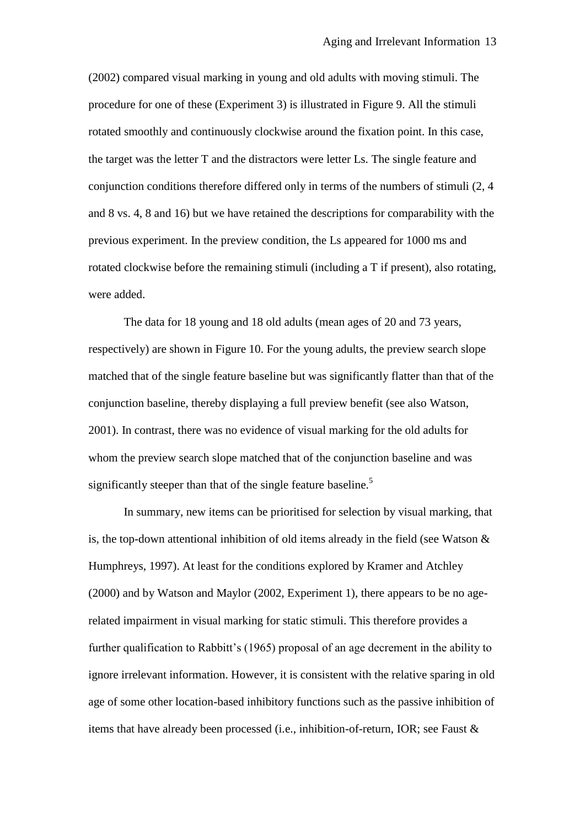(2002) compared visual marking in young and old adults with moving stimuli. The procedure for one of these (Experiment 3) is illustrated in Figure 9. All the stimuli rotated smoothly and continuously clockwise around the fixation point. In this case, the target was the letter T and the distractors were letter Ls. The single feature and conjunction conditions therefore differed only in terms of the numbers of stimuli (2, 4 and 8 vs. 4, 8 and 16) but we have retained the descriptions for comparability with the previous experiment. In the preview condition, the Ls appeared for 1000 ms and rotated clockwise before the remaining stimuli (including a T if present), also rotating, were added.

The data for 18 young and 18 old adults (mean ages of 20 and 73 years, respectively) are shown in Figure 10. For the young adults, the preview search slope matched that of the single feature baseline but was significantly flatter than that of the conjunction baseline, thereby displaying a full preview benefit (see also Watson, 2001). In contrast, there was no evidence of visual marking for the old adults for whom the preview search slope matched that of the conjunction baseline and was significantly steeper than that of the single feature baseline.<sup>5</sup>

In summary, new items can be prioritised for selection by visual marking, that is, the top-down attentional inhibition of old items already in the field (see Watson & Humphreys, 1997). At least for the conditions explored by Kramer and Atchley (2000) and by Watson and Maylor (2002, Experiment 1), there appears to be no agerelated impairment in visual marking for static stimuli. This therefore provides a further qualification to Rabbitt's (1965) proposal of an age decrement in the ability to ignore irrelevant information. However, it is consistent with the relative sparing in old age of some other location-based inhibitory functions such as the passive inhibition of items that have already been processed (i.e., inhibition-of-return, IOR; see Faust &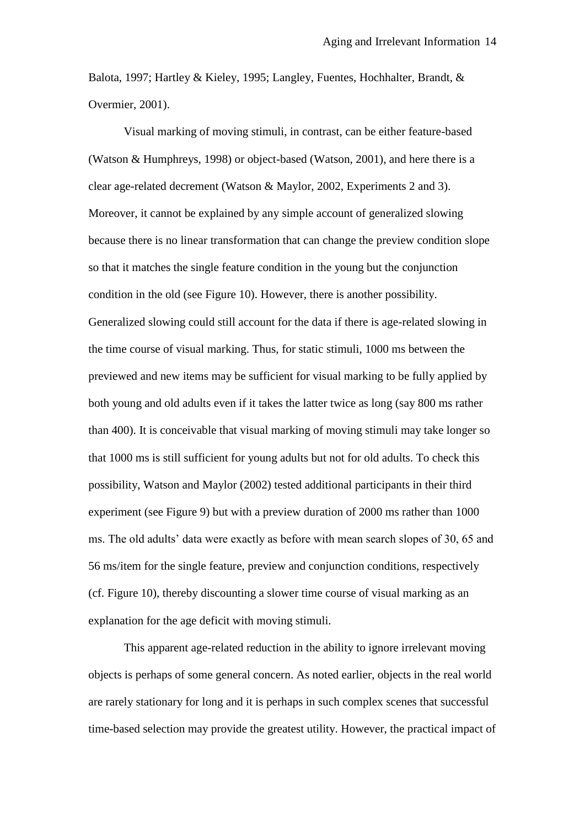Balota, 1997; Hartley & Kieley, 1995; Langley, Fuentes, Hochhalter, Brandt, & Overmier, 2001).

Visual marking of moving stimuli, in contrast, can be either feature-based (Watson & Humphreys, 1998) or object-based (Watson, 2001), and here there is a clear age-related decrement (Watson & Maylor, 2002, Experiments 2 and 3). Moreover, it cannot be explained by any simple account of generalized slowing because there is no linear transformation that can change the preview condition slope so that it matches the single feature condition in the young but the conjunction condition in the old (see Figure 10). However, there is another possibility. Generalized slowing could still account for the data if there is age-related slowing in the time course of visual marking. Thus, for static stimuli, 1000 ms between the previewed and new items may be sufficient for visual marking to be fully applied by both young and old adults even if it takes the latter twice as long (say 800 ms rather than 400). It is conceivable that visual marking of moving stimuli may take longer so that 1000 ms is still sufficient for young adults but not for old adults. To check this possibility, Watson and Maylor (2002) tested additional participants in their third experiment (see Figure 9) but with a preview duration of 2000 ms rather than 1000 ms. The old adults' data were exactly as before with mean search slopes of 30, 65 and 56 ms/item for the single feature, preview and conjunction conditions, respectively (cf. Figure 10), thereby discounting a slower time course of visual marking as an explanation for the age deficit with moving stimuli.

This apparent age-related reduction in the ability to ignore irrelevant moving objects is perhaps of some general concern. As noted earlier, objects in the real world are rarely stationary for long and it is perhaps in such complex scenes that successful time-based selection may provide the greatest utility. However, the practical impact of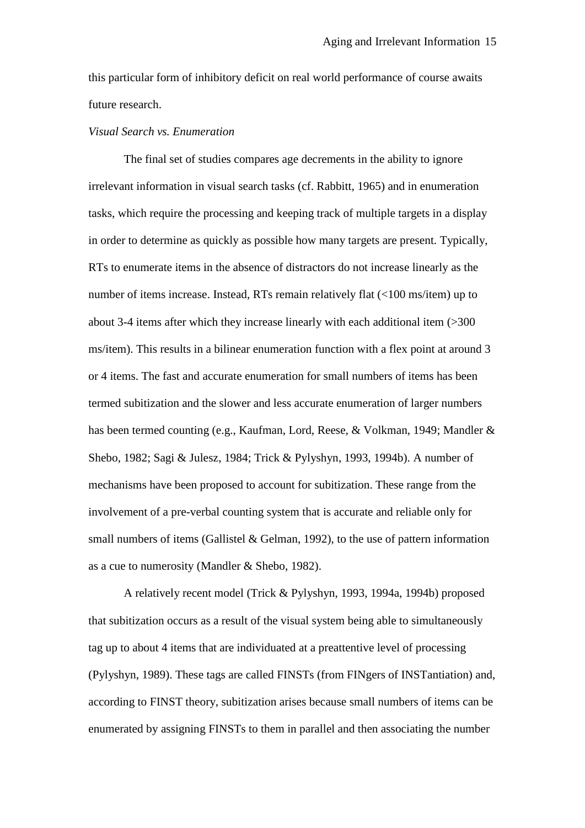this particular form of inhibitory deficit on real world performance of course awaits future research.

#### *Visual Search vs. Enumeration*

The final set of studies compares age decrements in the ability to ignore irrelevant information in visual search tasks (cf. Rabbitt, 1965) and in enumeration tasks, which require the processing and keeping track of multiple targets in a display in order to determine as quickly as possible how many targets are present. Typically, RTs to enumerate items in the absence of distractors do not increase linearly as the number of items increase. Instead, RTs remain relatively flat (<100 ms/item) up to about 3-4 items after which they increase linearly with each additional item (>300 ms/item). This results in a bilinear enumeration function with a flex point at around 3 or 4 items. The fast and accurate enumeration for small numbers of items has been termed subitization and the slower and less accurate enumeration of larger numbers has been termed counting (e.g., Kaufman, Lord, Reese, & Volkman, 1949; Mandler & Shebo, 1982; Sagi & Julesz, 1984; Trick & Pylyshyn, 1993, 1994b). A number of mechanisms have been proposed to account for subitization. These range from the involvement of a pre-verbal counting system that is accurate and reliable only for small numbers of items (Gallistel & Gelman, 1992), to the use of pattern information as a cue to numerosity (Mandler & Shebo, 1982).

A relatively recent model (Trick & Pylyshyn, 1993, 1994a, 1994b) proposed that subitization occurs as a result of the visual system being able to simultaneously tag up to about 4 items that are individuated at a preattentive level of processing (Pylyshyn, 1989). These tags are called FINSTs (from FINgers of INSTantiation) and, according to FINST theory, subitization arises because small numbers of items can be enumerated by assigning FINSTs to them in parallel and then associating the number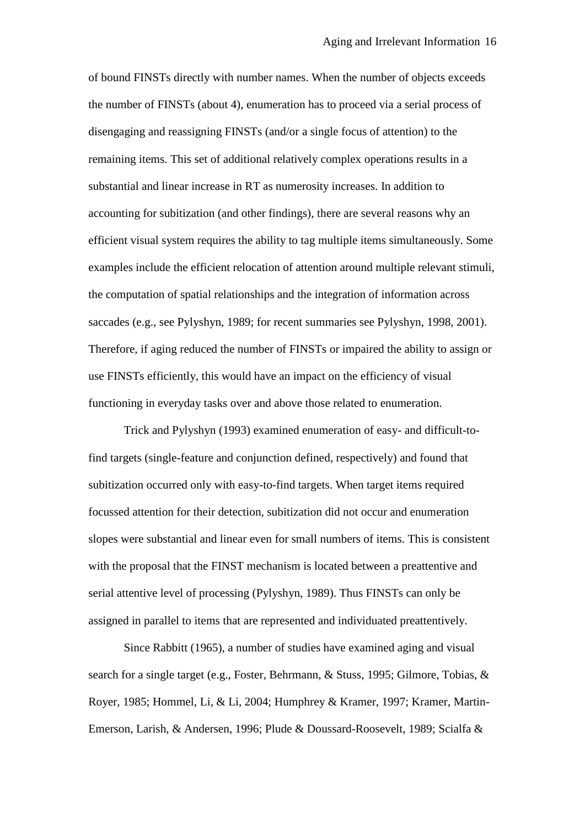of bound FINSTs directly with number names. When the number of objects exceeds the number of FINSTs (about 4), enumeration has to proceed via a serial process of disengaging and reassigning FINSTs (and/or a single focus of attention) to the remaining items. This set of additional relatively complex operations results in a substantial and linear increase in RT as numerosity increases. In addition to accounting for subitization (and other findings), there are several reasons why an efficient visual system requires the ability to tag multiple items simultaneously. Some examples include the efficient relocation of attention around multiple relevant stimuli, the computation of spatial relationships and the integration of information across saccades (e.g., see Pylyshyn, 1989; for recent summaries see Pylyshyn, 1998, 2001). Therefore, if aging reduced the number of FINSTs or impaired the ability to assign or use FINSTs efficiently, this would have an impact on the efficiency of visual functioning in everyday tasks over and above those related to enumeration.

Trick and Pylyshyn (1993) examined enumeration of easy- and difficult-tofind targets (single-feature and conjunction defined, respectively) and found that subitization occurred only with easy-to-find targets. When target items required focussed attention for their detection, subitization did not occur and enumeration slopes were substantial and linear even for small numbers of items. This is consistent with the proposal that the FINST mechanism is located between a preattentive and serial attentive level of processing (Pylyshyn, 1989). Thus FINSTs can only be assigned in parallel to items that are represented and individuated preattentively.

Since Rabbitt (1965), a number of studies have examined aging and visual search for a single target (e.g., Foster, Behrmann, & Stuss, 1995; Gilmore, Tobias, & Royer, 1985; Hommel, Li, & Li, 2004; Humphrey & Kramer, 1997; Kramer, Martin-Emerson, Larish, & Andersen, 1996; Plude & Doussard-Roosevelt, 1989; Scialfa &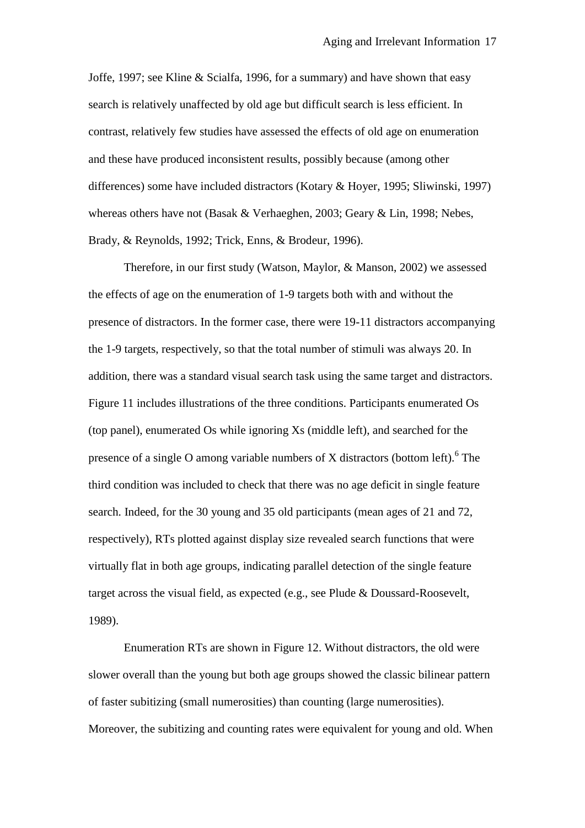Joffe, 1997; see Kline & Scialfa, 1996, for a summary) and have shown that easy search is relatively unaffected by old age but difficult search is less efficient. In contrast, relatively few studies have assessed the effects of old age on enumeration and these have produced inconsistent results, possibly because (among other differences) some have included distractors (Kotary & Hoyer, 1995; Sliwinski, 1997) whereas others have not (Basak & Verhaeghen, 2003; Geary & Lin, 1998; Nebes, Brady, & Reynolds, 1992; Trick, Enns, & Brodeur, 1996).

Therefore, in our first study (Watson, Maylor, & Manson, 2002) we assessed the effects of age on the enumeration of 1-9 targets both with and without the presence of distractors. In the former case, there were 19-11 distractors accompanying the 1-9 targets, respectively, so that the total number of stimuli was always 20. In addition, there was a standard visual search task using the same target and distractors. Figure 11 includes illustrations of the three conditions. Participants enumerated Os (top panel), enumerated Os while ignoring Xs (middle left), and searched for the presence of a single O among variable numbers of X distractors (bottom left).<sup>6</sup> The third condition was included to check that there was no age deficit in single feature search. Indeed, for the 30 young and 35 old participants (mean ages of 21 and 72, respectively), RTs plotted against display size revealed search functions that were virtually flat in both age groups, indicating parallel detection of the single feature target across the visual field, as expected (e.g., see Plude & Doussard-Roosevelt, 1989).

Enumeration RTs are shown in Figure 12. Without distractors, the old were slower overall than the young but both age groups showed the classic bilinear pattern of faster subitizing (small numerosities) than counting (large numerosities). Moreover, the subitizing and counting rates were equivalent for young and old. When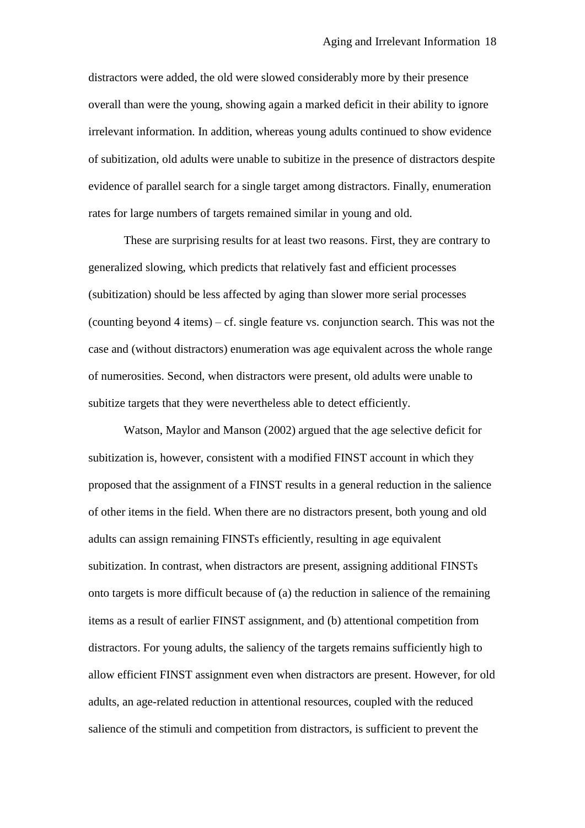distractors were added, the old were slowed considerably more by their presence overall than were the young, showing again a marked deficit in their ability to ignore irrelevant information. In addition, whereas young adults continued to show evidence of subitization, old adults were unable to subitize in the presence of distractors despite evidence of parallel search for a single target among distractors. Finally, enumeration rates for large numbers of targets remained similar in young and old.

These are surprising results for at least two reasons. First, they are contrary to generalized slowing, which predicts that relatively fast and efficient processes (subitization) should be less affected by aging than slower more serial processes (counting beyond 4 items) – cf. single feature vs. conjunction search. This was not the case and (without distractors) enumeration was age equivalent across the whole range of numerosities. Second, when distractors were present, old adults were unable to subitize targets that they were nevertheless able to detect efficiently.

Watson, Maylor and Manson (2002) argued that the age selective deficit for subitization is, however, consistent with a modified FINST account in which they proposed that the assignment of a FINST results in a general reduction in the salience of other items in the field. When there are no distractors present, both young and old adults can assign remaining FINSTs efficiently, resulting in age equivalent subitization. In contrast, when distractors are present, assigning additional FINSTs onto targets is more difficult because of (a) the reduction in salience of the remaining items as a result of earlier FINST assignment, and (b) attentional competition from distractors. For young adults, the saliency of the targets remains sufficiently high to allow efficient FINST assignment even when distractors are present. However, for old adults, an age-related reduction in attentional resources, coupled with the reduced salience of the stimuli and competition from distractors, is sufficient to prevent the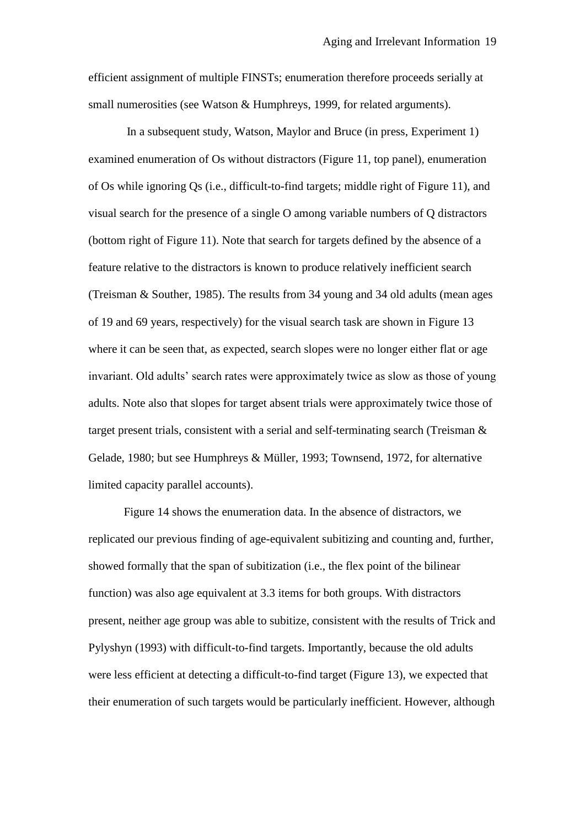efficient assignment of multiple FINSTs; enumeration therefore proceeds serially at small numerosities (see Watson & Humphreys, 1999, for related arguments).

In a subsequent study, Watson, Maylor and Bruce (in press, Experiment 1) examined enumeration of Os without distractors (Figure 11, top panel), enumeration of Os while ignoring Qs (i.e., difficult-to-find targets; middle right of Figure 11), and visual search for the presence of a single O among variable numbers of Q distractors (bottom right of Figure 11). Note that search for targets defined by the absence of a feature relative to the distractors is known to produce relatively inefficient search (Treisman & Souther, 1985). The results from 34 young and 34 old adults (mean ages of 19 and 69 years, respectively) for the visual search task are shown in Figure 13 where it can be seen that, as expected, search slopes were no longer either flat or age invariant. Old adults' search rates were approximately twice as slow as those of young adults. Note also that slopes for target absent trials were approximately twice those of target present trials, consistent with a serial and self-terminating search (Treisman & Gelade, 1980; but see Humphreys & Müller, 1993; Townsend, 1972, for alternative limited capacity parallel accounts).

Figure 14 shows the enumeration data. In the absence of distractors, we replicated our previous finding of age-equivalent subitizing and counting and, further, showed formally that the span of subitization (i.e., the flex point of the bilinear function) was also age equivalent at 3.3 items for both groups. With distractors present, neither age group was able to subitize, consistent with the results of Trick and Pylyshyn (1993) with difficult-to-find targets. Importantly, because the old adults were less efficient at detecting a difficult-to-find target (Figure 13), we expected that their enumeration of such targets would be particularly inefficient. However, although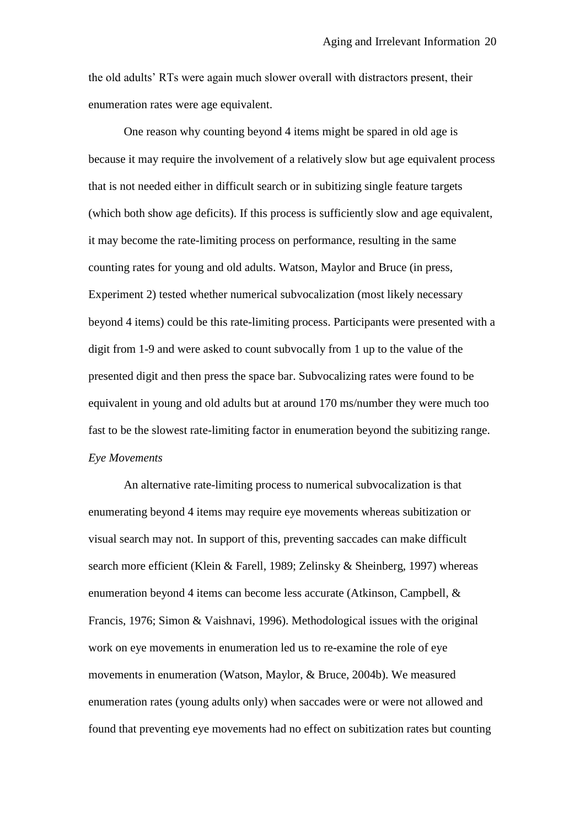the old adults" RTs were again much slower overall with distractors present, their enumeration rates were age equivalent.

One reason why counting beyond 4 items might be spared in old age is because it may require the involvement of a relatively slow but age equivalent process that is not needed either in difficult search or in subitizing single feature targets (which both show age deficits). If this process is sufficiently slow and age equivalent, it may become the rate-limiting process on performance, resulting in the same counting rates for young and old adults. Watson, Maylor and Bruce (in press, Experiment 2) tested whether numerical subvocalization (most likely necessary beyond 4 items) could be this rate-limiting process. Participants were presented with a digit from 1-9 and were asked to count subvocally from 1 up to the value of the presented digit and then press the space bar. Subvocalizing rates were found to be equivalent in young and old adults but at around 170 ms/number they were much too fast to be the slowest rate-limiting factor in enumeration beyond the subitizing range. *Eye Movements*

An alternative rate-limiting process to numerical subvocalization is that enumerating beyond 4 items may require eye movements whereas subitization or visual search may not. In support of this, preventing saccades can make difficult search more efficient (Klein & Farell, 1989; Zelinsky & Sheinberg, 1997) whereas enumeration beyond 4 items can become less accurate (Atkinson, Campbell, & Francis, 1976; Simon & Vaishnavi, 1996). Methodological issues with the original work on eye movements in enumeration led us to re-examine the role of eye movements in enumeration (Watson, Maylor, & Bruce, 2004b). We measured enumeration rates (young adults only) when saccades were or were not allowed and found that preventing eye movements had no effect on subitization rates but counting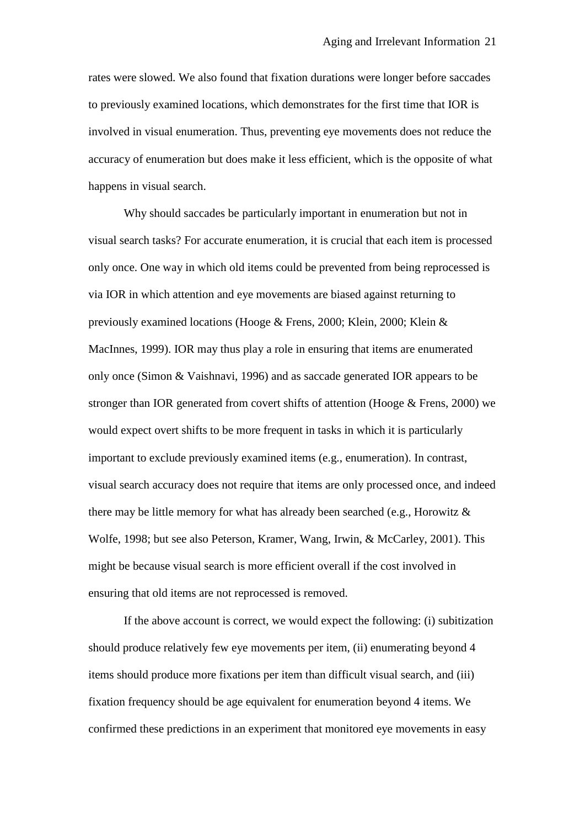rates were slowed. We also found that fixation durations were longer before saccades to previously examined locations, which demonstrates for the first time that IOR is involved in visual enumeration. Thus, preventing eye movements does not reduce the accuracy of enumeration but does make it less efficient, which is the opposite of what happens in visual search.

Why should saccades be particularly important in enumeration but not in visual search tasks? For accurate enumeration, it is crucial that each item is processed only once. One way in which old items could be prevented from being reprocessed is via IOR in which attention and eye movements are biased against returning to previously examined locations (Hooge & Frens, 2000; Klein, 2000; Klein & MacInnes, 1999). IOR may thus play a role in ensuring that items are enumerated only once (Simon & Vaishnavi, 1996) and as saccade generated IOR appears to be stronger than IOR generated from covert shifts of attention (Hooge & Frens, 2000) we would expect overt shifts to be more frequent in tasks in which it is particularly important to exclude previously examined items (e.g., enumeration). In contrast, visual search accuracy does not require that items are only processed once, and indeed there may be little memory for what has already been searched (e.g., Horowitz & Wolfe, 1998; but see also Peterson, Kramer, Wang, Irwin, & McCarley, 2001). This might be because visual search is more efficient overall if the cost involved in ensuring that old items are not reprocessed is removed.

If the above account is correct, we would expect the following: (i) subitization should produce relatively few eye movements per item, (ii) enumerating beyond 4 items should produce more fixations per item than difficult visual search, and (iii) fixation frequency should be age equivalent for enumeration beyond 4 items. We confirmed these predictions in an experiment that monitored eye movements in easy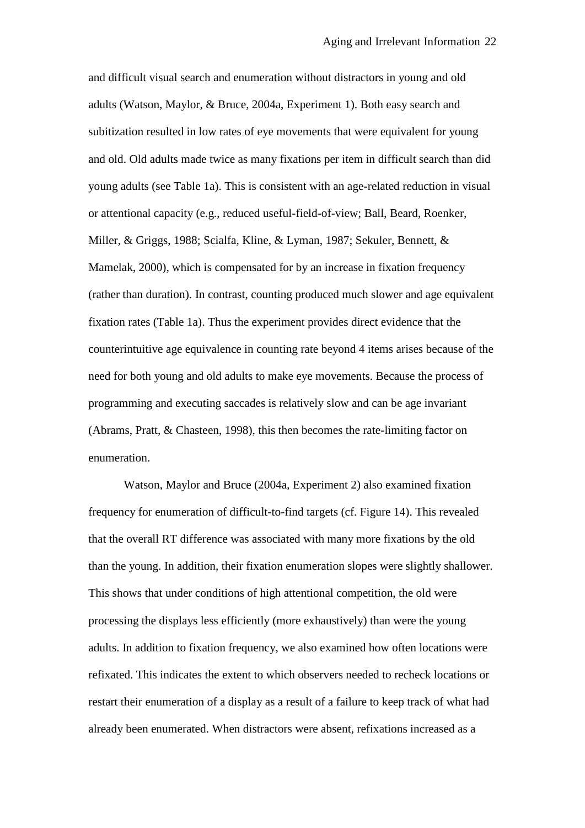and difficult visual search and enumeration without distractors in young and old adults (Watson, Maylor, & Bruce, 2004a, Experiment 1). Both easy search and subitization resulted in low rates of eye movements that were equivalent for young and old. Old adults made twice as many fixations per item in difficult search than did young adults (see Table 1a). This is consistent with an age-related reduction in visual or attentional capacity (e.g., reduced useful-field-of-view; Ball, Beard, Roenker, Miller, & Griggs, 1988; Scialfa, Kline, & Lyman, 1987; Sekuler, Bennett, & Mamelak, 2000), which is compensated for by an increase in fixation frequency (rather than duration). In contrast, counting produced much slower and age equivalent fixation rates (Table 1a). Thus the experiment provides direct evidence that the counterintuitive age equivalence in counting rate beyond 4 items arises because of the need for both young and old adults to make eye movements. Because the process of programming and executing saccades is relatively slow and can be age invariant (Abrams, Pratt, & Chasteen, 1998), this then becomes the rate-limiting factor on enumeration.

Watson, Maylor and Bruce (2004a, Experiment 2) also examined fixation frequency for enumeration of difficult-to-find targets (cf. Figure 14). This revealed that the overall RT difference was associated with many more fixations by the old than the young. In addition, their fixation enumeration slopes were slightly shallower. This shows that under conditions of high attentional competition, the old were processing the displays less efficiently (more exhaustively) than were the young adults. In addition to fixation frequency, we also examined how often locations were refixated. This indicates the extent to which observers needed to recheck locations or restart their enumeration of a display as a result of a failure to keep track of what had already been enumerated. When distractors were absent, refixations increased as a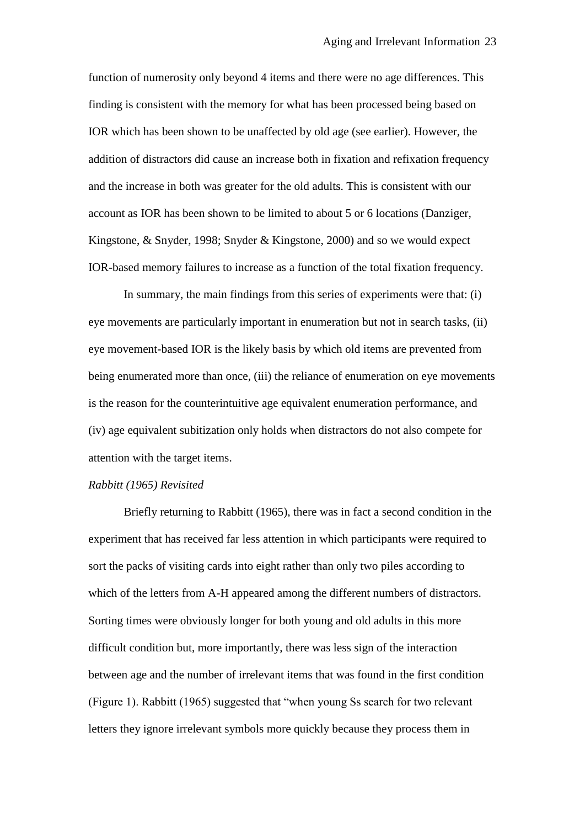function of numerosity only beyond 4 items and there were no age differences. This finding is consistent with the memory for what has been processed being based on IOR which has been shown to be unaffected by old age (see earlier). However, the addition of distractors did cause an increase both in fixation and refixation frequency and the increase in both was greater for the old adults. This is consistent with our account as IOR has been shown to be limited to about 5 or 6 locations (Danziger, Kingstone, & Snyder, 1998; Snyder & Kingstone, 2000) and so we would expect IOR-based memory failures to increase as a function of the total fixation frequency.

In summary, the main findings from this series of experiments were that: (i) eye movements are particularly important in enumeration but not in search tasks, (ii) eye movement-based IOR is the likely basis by which old items are prevented from being enumerated more than once, (iii) the reliance of enumeration on eye movements is the reason for the counterintuitive age equivalent enumeration performance, and (iv) age equivalent subitization only holds when distractors do not also compete for attention with the target items.

#### *Rabbitt (1965) Revisited*

Briefly returning to Rabbitt (1965), there was in fact a second condition in the experiment that has received far less attention in which participants were required to sort the packs of visiting cards into eight rather than only two piles according to which of the letters from A-H appeared among the different numbers of distractors. Sorting times were obviously longer for both young and old adults in this more difficult condition but, more importantly, there was less sign of the interaction between age and the number of irrelevant items that was found in the first condition (Figure 1). Rabbitt (1965) suggested that "when young Ss search for two relevant letters they ignore irrelevant symbols more quickly because they process them in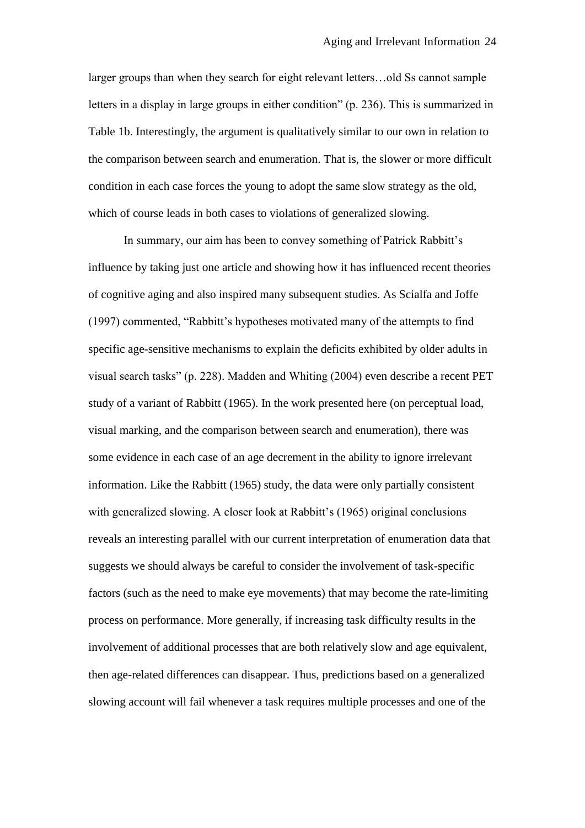larger groups than when they search for eight relevant letters…old Ss cannot sample letters in a display in large groups in either condition" (p. 236). This is summarized in Table 1b. Interestingly, the argument is qualitatively similar to our own in relation to the comparison between search and enumeration. That is, the slower or more difficult condition in each case forces the young to adopt the same slow strategy as the old, which of course leads in both cases to violations of generalized slowing.

In summary, our aim has been to convey something of Patrick Rabbitt's influence by taking just one article and showing how it has influenced recent theories of cognitive aging and also inspired many subsequent studies. As Scialfa and Joffe (1997) commented, "Rabbitt"s hypotheses motivated many of the attempts to find specific age-sensitive mechanisms to explain the deficits exhibited by older adults in visual search tasks" (p. 228). Madden and Whiting (2004) even describe a recent PET study of a variant of Rabbitt (1965). In the work presented here (on perceptual load, visual marking, and the comparison between search and enumeration), there was some evidence in each case of an age decrement in the ability to ignore irrelevant information. Like the Rabbitt (1965) study, the data were only partially consistent with generalized slowing. A closer look at Rabbitt's (1965) original conclusions reveals an interesting parallel with our current interpretation of enumeration data that suggests we should always be careful to consider the involvement of task-specific factors (such as the need to make eye movements) that may become the rate-limiting process on performance. More generally, if increasing task difficulty results in the involvement of additional processes that are both relatively slow and age equivalent, then age-related differences can disappear. Thus, predictions based on a generalized slowing account will fail whenever a task requires multiple processes and one of the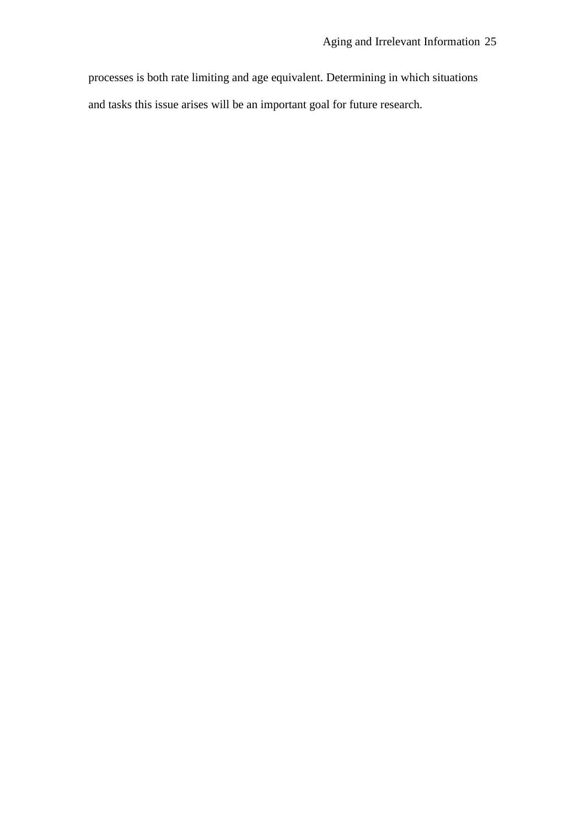processes is both rate limiting and age equivalent. Determining in which situations and tasks this issue arises will be an important goal for future research.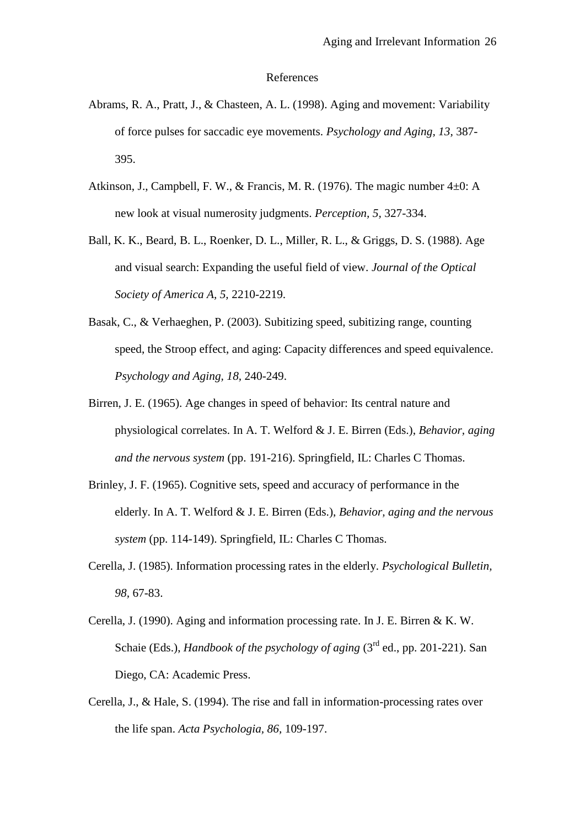#### References

- Abrams, R. A., Pratt, J., & Chasteen, A. L. (1998). Aging and movement: Variability of force pulses for saccadic eye movements. *Psychology and Aging, 13,* 387- 395.
- Atkinson, J., Campbell, F. W., & Francis, M. R. (1976). The magic number 4±0: A new look at visual numerosity judgments. *Perception, 5,* 327-334.
- Ball, K. K., Beard, B. L., Roenker, D. L., Miller, R. L., & Griggs, D. S. (1988). Age and visual search: Expanding the useful field of view. *Journal of the Optical Society of America A, 5,* 2210-2219.
- Basak, C., & Verhaeghen, P. (2003). Subitizing speed, subitizing range, counting speed, the Stroop effect, and aging: Capacity differences and speed equivalence. *Psychology and Aging, 18,* 240-249.
- Birren, J. E. (1965). Age changes in speed of behavior: Its central nature and physiological correlates. In A. T. Welford & J. E. Birren (Eds.), *Behavior, aging and the nervous system* (pp. 191-216). Springfield, IL: Charles C Thomas.
- Brinley, J. F. (1965). Cognitive sets, speed and accuracy of performance in the elderly. In A. T. Welford & J. E. Birren (Eds.), *Behavior, aging and the nervous system* (pp. 114-149). Springfield, IL: Charles C Thomas.
- Cerella, J. (1985). Information processing rates in the elderly. *Psychological Bulletin, 98,* 67-83.
- Cerella, J. (1990). Aging and information processing rate. In J. E. Birren & K. W. Schaie (Eds.), *Handbook of the psychology of aging* (3rd ed., pp. 201-221). San Diego, CA: Academic Press.
- Cerella, J., & Hale, S. (1994). The rise and fall in information-processing rates over the life span. *Acta Psychologia, 86,* 109-197.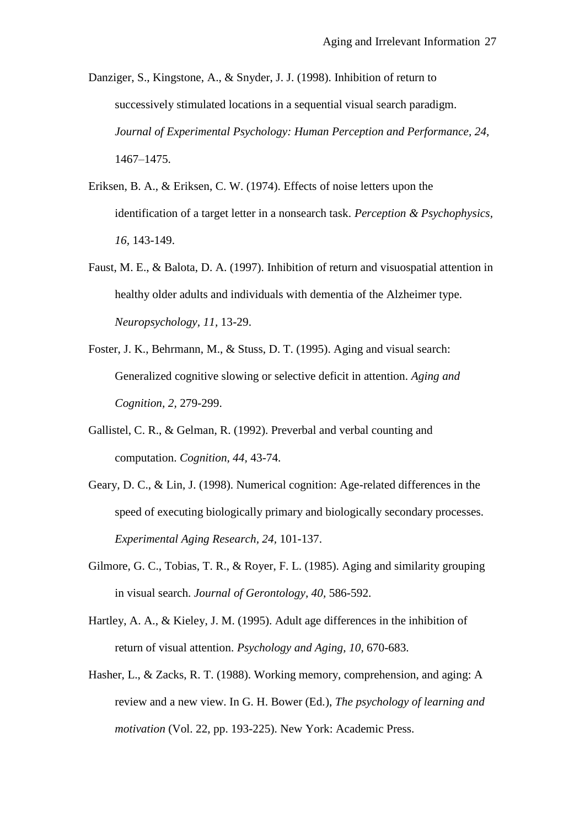Danziger, S., Kingstone, A., & Snyder, J. J. (1998). Inhibition of return to successively stimulated locations in a sequential visual search paradigm. *Journal of Experimental Psychology: Human Perception and Performance, 24,*  1467–1475.

- Eriksen, B. A., & Eriksen, C. W. (1974). Effects of noise letters upon the identification of a target letter in a nonsearch task. *Perception & Psychophysics, 16,* 143-149.
- Faust, M. E., & Balota, D. A. (1997). Inhibition of return and visuospatial attention in healthy older adults and individuals with dementia of the Alzheimer type. *Neuropsychology, 11,* 13-29.
- Foster, J. K., Behrmann, M., & Stuss, D. T. (1995). Aging and visual search: Generalized cognitive slowing or selective deficit in attention. *Aging and Cognition, 2,* 279-299.
- Gallistel, C. R., & Gelman, R. (1992). Preverbal and verbal counting and computation. *Cognition, 44,* 43-74.
- Geary, D. C., & Lin, J. (1998). Numerical cognition: Age-related differences in the speed of executing biologically primary and biologically secondary processes. *Experimental Aging Research, 24,* 101-137.
- Gilmore, G. C., Tobias, T. R., & Royer, F. L. (1985). Aging and similarity grouping in visual search. *Journal of Gerontology, 40,* 586-592.
- Hartley, A. A., & Kieley, J. M. (1995). Adult age differences in the inhibition of return of visual attention. *Psychology and Aging, 10,* 670-683.
- Hasher, L., & Zacks, R. T. (1988). Working memory, comprehension, and aging: A review and a new view. In G. H. Bower (Ed.), *The psychology of learning and motivation* (Vol. 22, pp. 193-225). New York: Academic Press.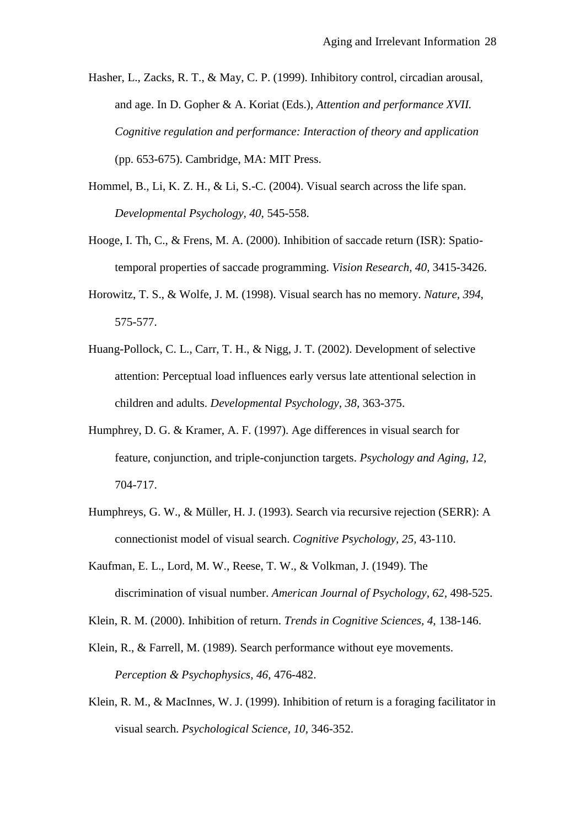- Hasher, L., Zacks, R. T., & May, C. P. (1999). Inhibitory control, circadian arousal, and age. In D. Gopher & A. Koriat (Eds.), *Attention and performance XVII. Cognitive regulation and performance: Interaction of theory and application* (pp. 653-675). Cambridge, MA: MIT Press.
- Hommel, B., Li, K. Z. H., & Li, S.-C. (2004). Visual search across the life span. *Developmental Psychology, 40,* 545-558.
- Hooge, I. Th, C., & Frens, M. A. (2000). Inhibition of saccade return (ISR): Spatiotemporal properties of saccade programming. *Vision Research, 40,* 3415-3426.
- Horowitz, T. S., & Wolfe, J. M. (1998). Visual search has no memory. *Nature, 394,* 575-577.
- Huang-Pollock, C. L., Carr, T. H., & Nigg, J. T. (2002). Development of selective attention: Perceptual load influences early versus late attentional selection in children and adults. *Developmental Psychology, 38,* 363-375.
- Humphrey, D. G. & Kramer, A. F. (1997). Age differences in visual search for feature, conjunction, and triple-conjunction targets. *Psychology and Aging, 12,* 704-717.
- Humphreys, G. W., & Müller, H. J. (1993). Search via recursive rejection (SERR): A connectionist model of visual search. *Cognitive Psychology, 25,* 43-110.
- Kaufman, E. L., Lord, M. W., Reese, T. W., & Volkman, J. (1949). The discrimination of visual number. *American Journal of Psychology, 62,* 498-525.
- Klein, R. M. (2000). Inhibition of return. *Trends in Cognitive Sciences, 4,* 138-146.
- Klein, R., & Farrell, M. (1989). Search performance without eye movements. *Perception & Psychophysics, 46,* 476-482.
- Klein, R. M., & MacInnes, W. J. (1999). Inhibition of return is a foraging facilitator in visual search. *Psychological Science, 10,* 346-352.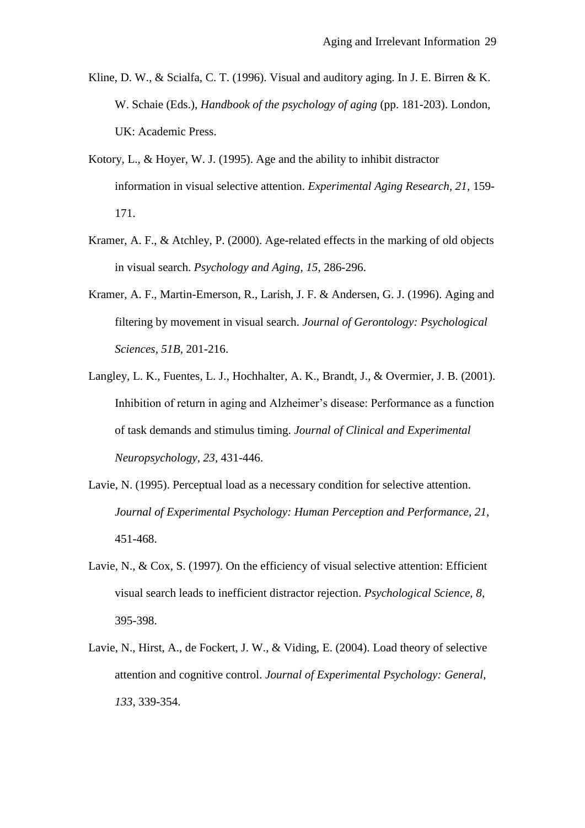- Kline, D. W., & Scialfa, C. T. (1996). Visual and auditory aging. In J. E. Birren & K. W. Schaie (Eds.), *Handbook of the psychology of aging* (pp. 181-203). London, UK: Academic Press.
- Kotory, L., & Hoyer, W. J. (1995). Age and the ability to inhibit distractor information in visual selective attention. *Experimental Aging Research, 21,* 159- 171.
- Kramer, A. F., & Atchley, P. (2000). Age-related effects in the marking of old objects in visual search. *Psychology and Aging, 15,* 286-296.
- Kramer, A. F., Martin-Emerson, R., Larish, J. F. & Andersen, G. J. (1996). Aging and filtering by movement in visual search. *Journal of Gerontology: Psychological Sciences, 51B,* 201-216.
- Langley, L. K., Fuentes, L. J., Hochhalter, A. K., Brandt, J., & Overmier, J. B. (2001). Inhibition of return in aging and Alzheimer"s disease: Performance as a function of task demands and stimulus timing. *Journal of Clinical and Experimental Neuropsychology, 23,* 431-446.
- Lavie, N. (1995). Perceptual load as a necessary condition for selective attention. *Journal of Experimental Psychology: Human Perception and Performance, 21,* 451-468.
- Lavie, N., & Cox, S. (1997). On the efficiency of visual selective attention: Efficient visual search leads to inefficient distractor rejection. *Psychological Science, 8,* 395-398.
- Lavie, N., Hirst, A., de Fockert, J. W., & Viding, E. (2004). Load theory of selective attention and cognitive control. *Journal of Experimental Psychology: General, 133,* 339-354.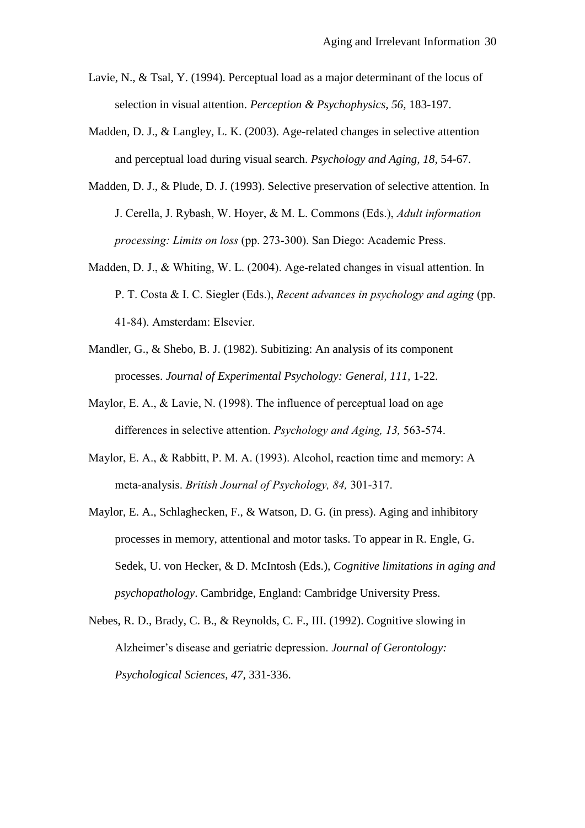- Lavie, N., & Tsal, Y. (1994). Perceptual load as a major determinant of the locus of selection in visual attention. *Perception & Psychophysics, 56,* 183-197.
- Madden, D. J., & Langley, L. K. (2003). Age-related changes in selective attention and perceptual load during visual search. *Psychology and Aging, 18,* 54-67.
- Madden, D. J., & Plude, D. J. (1993). Selective preservation of selective attention. In J. Cerella, J. Rybash, W. Hoyer, & M. L. Commons (Eds.), *Adult information processing: Limits on loss* (pp. 273-300). San Diego: Academic Press.
- Madden, D. J., & Whiting, W. L. (2004). Age-related changes in visual attention. In P. T. Costa & I. C. Siegler (Eds.), *Recent advances in psychology and aging* (pp. 41-84). Amsterdam: Elsevier.
- Mandler, G., & Shebo, B. J. (1982). Subitizing: An analysis of its component processes. *Journal of Experimental Psychology: General, 111,* 1-22.
- Maylor, E. A., & Lavie, N. (1998). The influence of perceptual load on age differences in selective attention. *Psychology and Aging, 13,* 563-574.
- Maylor, E. A., & Rabbitt, P. M. A. (1993). Alcohol, reaction time and memory: A meta-analysis. *British Journal of Psychology, 84,* 301-317.
- Maylor, E. A., Schlaghecken, F., & Watson, D. G. (in press). Aging and inhibitory processes in memory, attentional and motor tasks. To appear in R. Engle, G. Sedek, U. von Hecker, & D. McIntosh (Eds.), *Cognitive limitations in aging and psychopathology*. Cambridge, England: Cambridge University Press.
- Nebes, R. D., Brady, C. B., & Reynolds, C. F., III. (1992). Cognitive slowing in Alzheimer"s disease and geriatric depression. *Journal of Gerontology: Psychological Sciences, 47,* 331-336.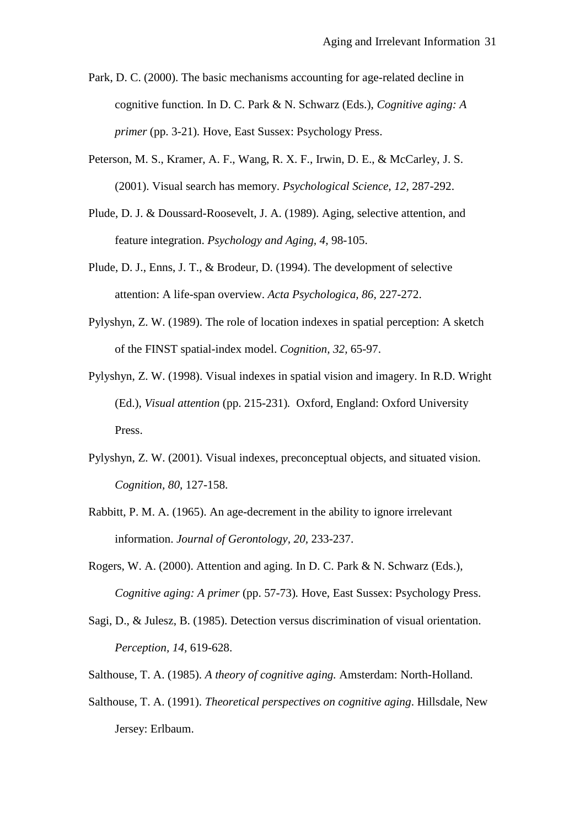- Park, D. C. (2000). The basic mechanisms accounting for age-related decline in cognitive function. In D. C. Park & N. Schwarz (Eds.), *Cognitive aging: A primer* (pp. 3-21)*.* Hove, East Sussex: Psychology Press.
- Peterson, M. S., Kramer, A. F., Wang, R. X. F., Irwin, D. E., & McCarley, J. S. (2001). Visual search has memory. *Psychological Science, 12,* 287-292.
- Plude, D. J. & Doussard-Roosevelt, J. A. (1989). Aging, selective attention, and feature integration. *Psychology and Aging, 4,* 98-105.
- Plude, D. J., Enns, J. T., & Brodeur, D. (1994). The development of selective attention: A life-span overview. *Acta Psychologica, 86,* 227-272.
- Pylyshyn, Z. W. (1989). The role of location indexes in spatial perception: A sketch of the FINST spatial-index model. *Cognition, 32,* 65-97.
- Pylyshyn, Z. W. (1998). Visual indexes in spatial vision and imagery. In R.D. Wright (Ed.), *Visual attention* (pp. 215-231)*.* Oxford, England: Oxford University Press.
- Pylyshyn, Z. W. (2001). Visual indexes, preconceptual objects, and situated vision. *Cognition, 80,* 127-158.
- Rabbitt, P. M. A. (1965). An age-decrement in the ability to ignore irrelevant information. *Journal of Gerontology, 20,* 233-237.
- Rogers, W. A. (2000). Attention and aging. In D. C. Park & N. Schwarz (Eds.), *Cognitive aging: A primer* (pp. 57-73)*.* Hove, East Sussex: Psychology Press.
- Sagi, D., & Julesz, B. (1985). Detection versus discrimination of visual orientation. *Perception, 14,* 619-628.
- Salthouse, T. A. (1985). *A theory of cognitive aging.* Amsterdam: North-Holland.
- Salthouse, T. A. (1991). *Theoretical perspectives on cognitive aging*. Hillsdale, New Jersey: Erlbaum.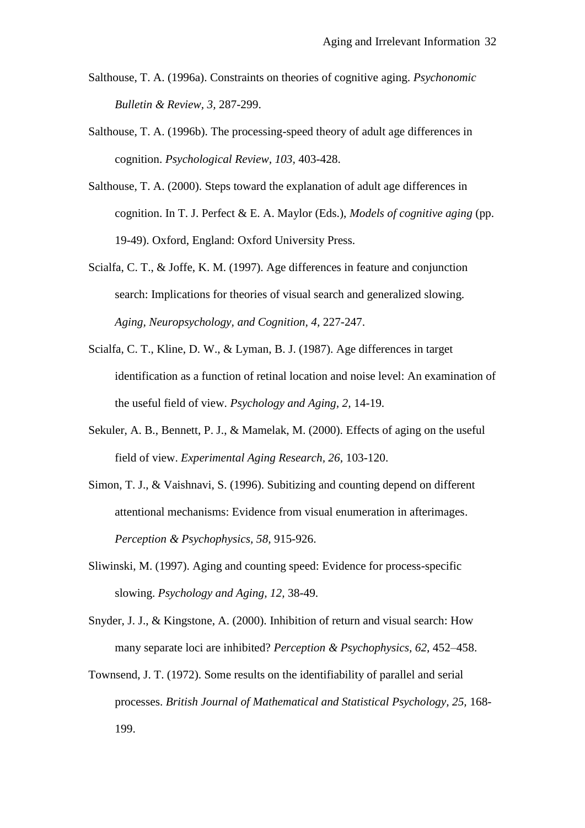- Salthouse, T. A. (1996a). Constraints on theories of cognitive aging. *Psychonomic Bulletin & Review, 3,* 287-299.
- Salthouse, T. A. (1996b). The processing-speed theory of adult age differences in cognition. *Psychological Review, 103,* 403-428.
- Salthouse, T. A. (2000). Steps toward the explanation of adult age differences in cognition. In T. J. Perfect & E. A. Maylor (Eds.), *Models of cognitive aging* (pp. 19-49). Oxford, England: Oxford University Press.
- Scialfa, C. T., & Joffe, K. M. (1997). Age differences in feature and conjunction search: Implications for theories of visual search and generalized slowing. *Aging, Neuropsychology, and Cognition, 4,* 227-247.
- Scialfa, C. T., Kline, D. W., & Lyman, B. J. (1987). Age differences in target identification as a function of retinal location and noise level: An examination of the useful field of view. *Psychology and Aging, 2,* 14-19.
- Sekuler, A. B., Bennett, P. J., & Mamelak, M. (2000). Effects of aging on the useful field of view. *Experimental Aging Research, 26,* 103-120.
- Simon, T. J., & Vaishnavi, S. (1996). Subitizing and counting depend on different attentional mechanisms: Evidence from visual enumeration in afterimages. *Perception & Psychophysics, 58,* 915-926.
- Sliwinski, M. (1997). Aging and counting speed: Evidence for process-specific slowing. *Psychology and Aging, 12,* 38-49.
- Snyder, J. J., & Kingstone, A. (2000). Inhibition of return and visual search: How many separate loci are inhibited? *Perception & Psychophysics, 62,* 452–458.
- Townsend, J. T. (1972). Some results on the identifiability of parallel and serial processes. *British Journal of Mathematical and Statistical Psychology, 25,* 168- 199.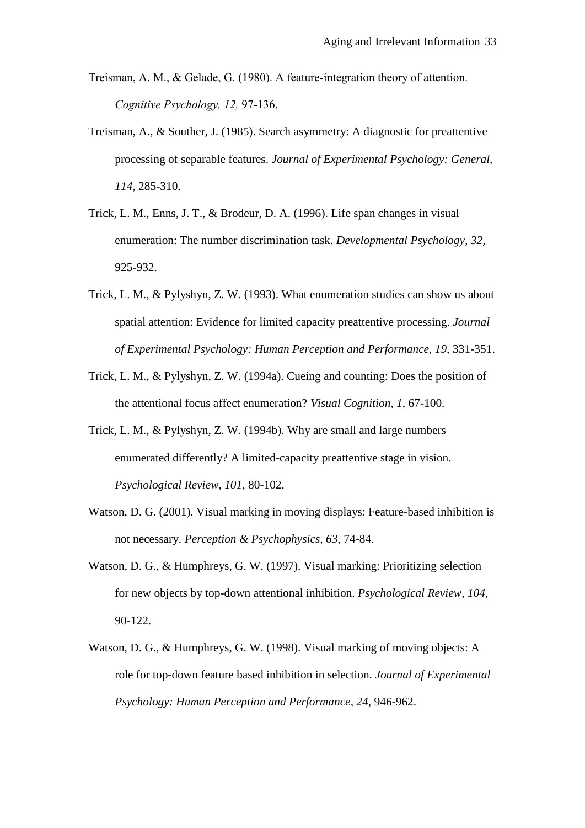- Treisman, A. M., & Gelade, G. (1980). A feature-integration theory of attention. *Cognitive Psychology, 12,* 97-136.
- Treisman, A., & Souther, J. (1985). Search asymmetry: A diagnostic for preattentive processing of separable features. *Journal of Experimental Psychology: General, 114,* 285-310.
- Trick, L. M., Enns, J. T., & Brodeur, D. A. (1996). Life span changes in visual enumeration: The number discrimination task. *Developmental Psychology, 32,* 925-932.
- Trick, L. M., & Pylyshyn, Z. W. (1993). What enumeration studies can show us about spatial attention: Evidence for limited capacity preattentive processing. *Journal of Experimental Psychology: Human Perception and Performance, 19,* 331-351.
- Trick, L. M., & Pylyshyn, Z. W. (1994a). Cueing and counting: Does the position of the attentional focus affect enumeration? *Visual Cognition, 1,* 67-100.
- Trick, L. M., & Pylyshyn, Z. W. (1994b). Why are small and large numbers enumerated differently? A limited-capacity preattentive stage in vision. *Psychological Review, 101,* 80-102.
- Watson, D. G. (2001). Visual marking in moving displays: Feature-based inhibition is not necessary. *Perception & Psychophysics, 63,* 74-84.
- Watson, D. G., & Humphreys, G. W. (1997). Visual marking: Prioritizing selection for new objects by top-down attentional inhibition. *Psychological Review, 104,* 90-122.
- Watson, D. G., & Humphreys, G. W. (1998). Visual marking of moving objects: A role for top-down feature based inhibition in selection. *Journal of Experimental Psychology: Human Perception and Performance, 24,* 946-962.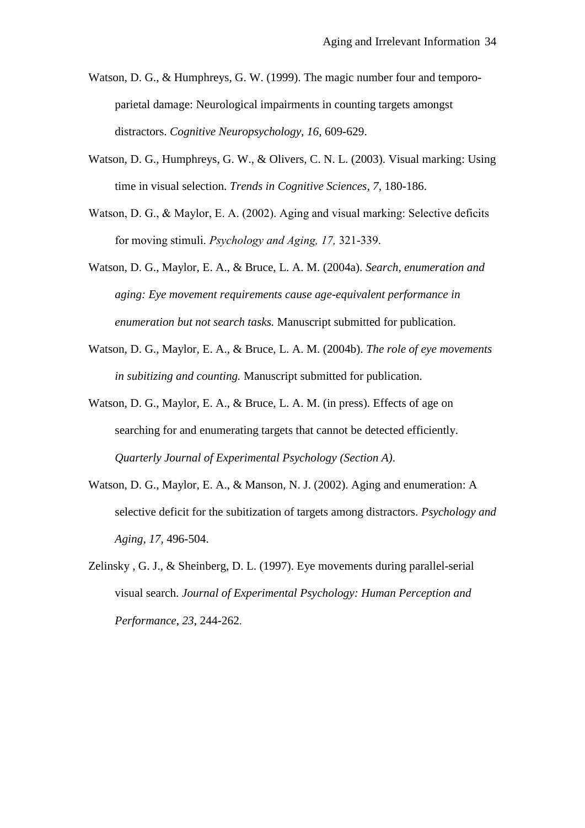- Watson, D. G., & Humphreys, G. W. (1999). The magic number four and temporoparietal damage: Neurological impairments in counting targets amongst distractors. *Cognitive Neuropsychology, 16,* 609-629.
- Watson, D. G., Humphreys, G. W., & Olivers, C. N. L. (2003). Visual marking: Using time in visual selection. *Trends in Cognitive Sciences, 7,* 180-186.
- Watson, D. G., & Maylor, E. A. (2002). Aging and visual marking: Selective deficits for moving stimuli. *Psychology and Aging, 17,* 321-339.
- Watson, D. G., Maylor, E. A., & Bruce, L. A. M. (2004a). *Search, enumeration and aging: Eye movement requirements cause age-equivalent performance in enumeration but not search tasks.* Manuscript submitted for publication.
- Watson, D. G., Maylor, E. A., & Bruce, L. A. M. (2004b). *The role of eye movements in subitizing and counting.* Manuscript submitted for publication.
- Watson, D. G., Maylor, E. A., & Bruce, L. A. M. (in press). Effects of age on searching for and enumerating targets that cannot be detected efficiently. *Quarterly Journal of Experimental Psychology (Section A)*.
- Watson, D. G., Maylor, E. A., & Manson, N. J. (2002). Aging and enumeration: A selective deficit for the subitization of targets among distractors. *Psychology and Aging, 17,* 496-504.
- Zelinsky , G. J., & Sheinberg, D. L. (1997). Eye movements during parallel-serial visual search. *Journal of Experimental Psychology: Human Perception and Performance, 23,* 244-262.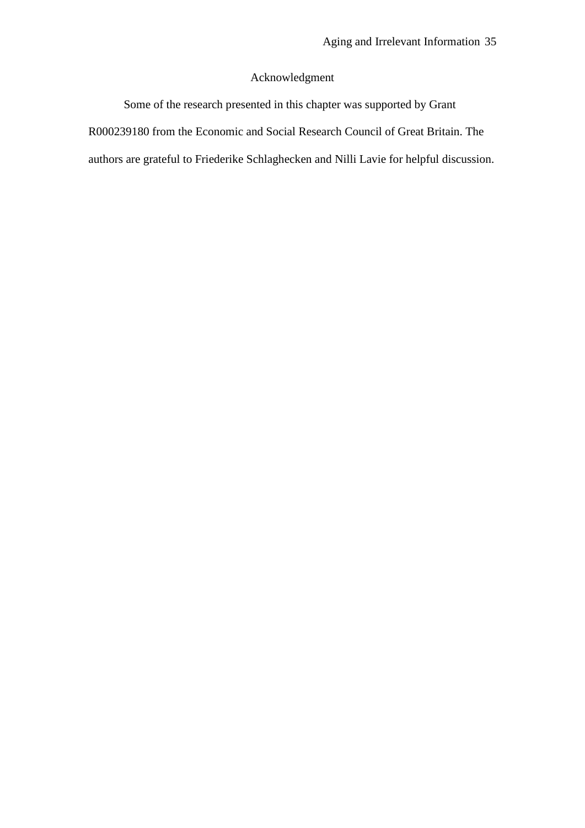### Acknowledgment

Some of the research presented in this chapter was supported by Grant R000239180 from the Economic and Social Research Council of Great Britain. The authors are grateful to Friederike Schlaghecken and Nilli Lavie for helpful discussion.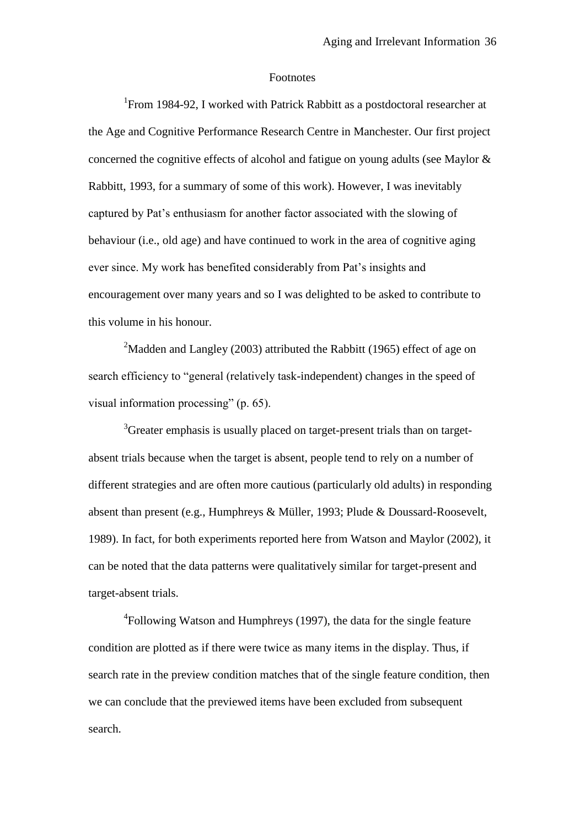#### Footnotes

<sup>1</sup> From 1984-92, I worked with Patrick Rabbitt as a postdoctoral researcher at the Age and Cognitive Performance Research Centre in Manchester. Our first project concerned the cognitive effects of alcohol and fatigue on young adults (see Maylor & Rabbitt, 1993, for a summary of some of this work). However, I was inevitably captured by Pat"s enthusiasm for another factor associated with the slowing of behaviour (i.e., old age) and have continued to work in the area of cognitive aging ever since. My work has benefited considerably from Pat"s insights and encouragement over many years and so I was delighted to be asked to contribute to this volume in his honour.

<sup>2</sup>Madden and Langley (2003) attributed the Rabbitt (1965) effect of age on search efficiency to "general (relatively task-independent) changes in the speed of visual information processing" (p. 65).

<sup>3</sup>Greater emphasis is usually placed on target-present trials than on targetabsent trials because when the target is absent, people tend to rely on a number of different strategies and are often more cautious (particularly old adults) in responding absent than present (e.g., Humphreys & Müller, 1993; Plude & Doussard-Roosevelt, 1989). In fact, for both experiments reported here from Watson and Maylor (2002), it can be noted that the data patterns were qualitatively similar for target-present and target-absent trials.

<sup>4</sup>Following Watson and Humphreys (1997), the data for the single feature condition are plotted as if there were twice as many items in the display. Thus, if search rate in the preview condition matches that of the single feature condition, then we can conclude that the previewed items have been excluded from subsequent search.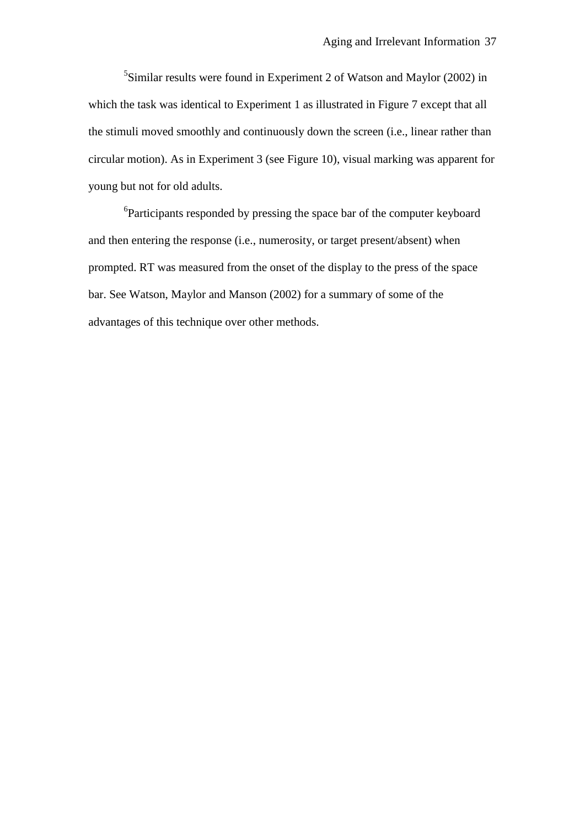<sup>5</sup>Similar results were found in Experiment 2 of Watson and Maylor (2002) in which the task was identical to Experiment 1 as illustrated in Figure 7 except that all the stimuli moved smoothly and continuously down the screen (i.e., linear rather than circular motion). As in Experiment 3 (see Figure 10), visual marking was apparent for young but not for old adults.

<sup>6</sup>Participants responded by pressing the space bar of the computer keyboard and then entering the response (i.e., numerosity, or target present/absent) when prompted. RT was measured from the onset of the display to the press of the space bar. See Watson, Maylor and Manson (2002) for a summary of some of the advantages of this technique over other methods.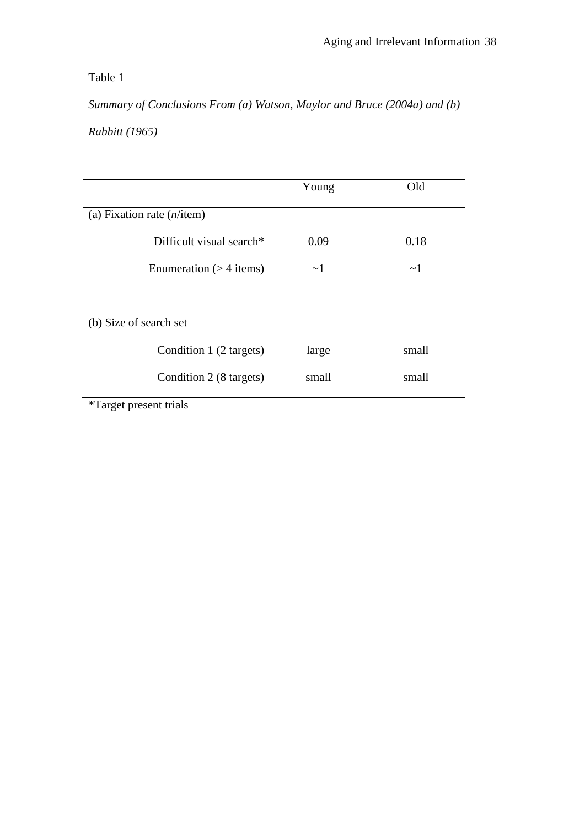## Table 1

*Summary of Conclusions From (a) Watson, Maylor and Bruce (2004a) and (b)* 

*Rabbitt (1965)*

|                                      | Young    | Old      |
|--------------------------------------|----------|----------|
| (a) Fixation rate $(n/\text{item})$  |          |          |
| Difficult visual search <sup>*</sup> | 0.09     | 0.18     |
| Enumeration $(>4$ items)             | $\sim$ 1 | $\sim$ 1 |
|                                      |          |          |
| (b) Size of search set               |          |          |
| Condition 1 (2 targets)              | large    | small    |
| Condition 2 (8 targets)              | small    | small    |
| <i>*Target present trials</i>        |          |          |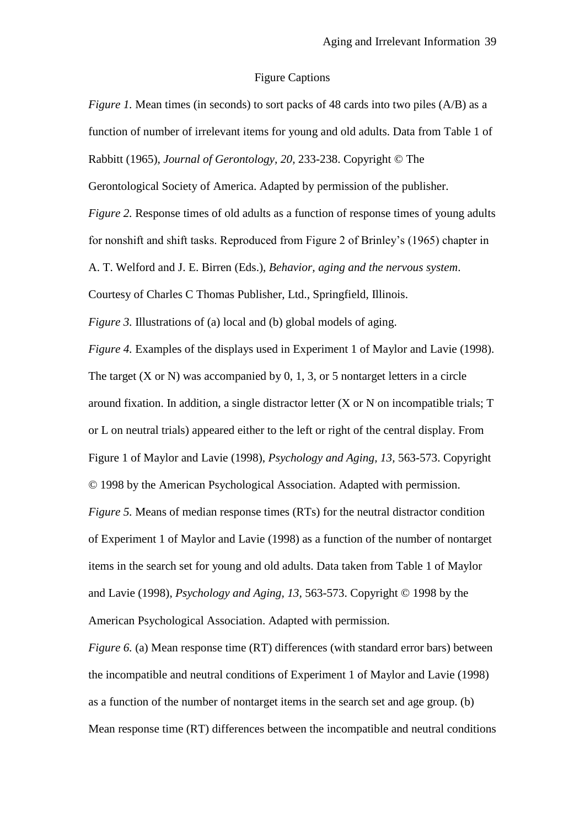## Figure Captions

| <i>Figure 1.</i> Mean times (in seconds) to sort packs of 48 cards into two piles (A/B) as a                 |
|--------------------------------------------------------------------------------------------------------------|
| function of number of irrelevant items for young and old adults. Data from Table 1 of                        |
| Rabbitt (1965), Journal of Gerontology, 20, 233-238. Copyright © The                                         |
| Gerontological Society of America. Adapted by permission of the publisher.                                   |
| <i>Figure 2.</i> Response times of old adults as a function of response times of young adults                |
| for nonshift and shift tasks. Reproduced from Figure 2 of Brinley's (1965) chapter in                        |
| A. T. Welford and J. E. Birren (Eds.), Behavior, aging and the nervous system.                               |
| Courtesy of Charles C Thomas Publisher, Ltd., Springfield, Illinois.                                         |
| <i>Figure 3.</i> Illustrations of (a) local and (b) global models of aging.                                  |
| Figure 4. Examples of the displays used in Experiment 1 of Maylor and Lavie (1998).                          |
| The target $(X \text{ or } N)$ was accompanied by 0, 1, 3, or 5 nontarget letters in a circle                |
| around fixation. In addition, a single distractor letter $(X \text{ or } N \text{ on incomplete trials}; T)$ |
| or L on neutral trials) appeared either to the left or right of the central display. From                    |
| Figure 1 of Maylor and Lavie (1998), Psychology and Aging, 13, 563-573. Copyright                            |
| © 1998 by the American Psychological Association. Adapted with permission.                                   |
| <i>Figure 5.</i> Means of median response times (RTs) for the neutral distractor condition                   |
| of Experiment 1 of Maylor and Lavie (1998) as a function of the number of nontarget                          |
| items in the search set for young and old adults. Data taken from Table 1 of Maylor                          |
| and Lavie (1998), <i>Psychology and Aging, 13, 563-573</i> . Copyright © 1998 by the                         |
| American Psychological Association. Adapted with permission.                                                 |
| <i>Figure 6. (a)</i> Mean response time (RT) differences (with standard error bars) between                  |
|                                                                                                              |

the incompatible and neutral conditions of Experiment 1 of Maylor and Lavie (1998) as a function of the number of nontarget items in the search set and age group. (b) Mean response time (RT) differences between the incompatible and neutral conditions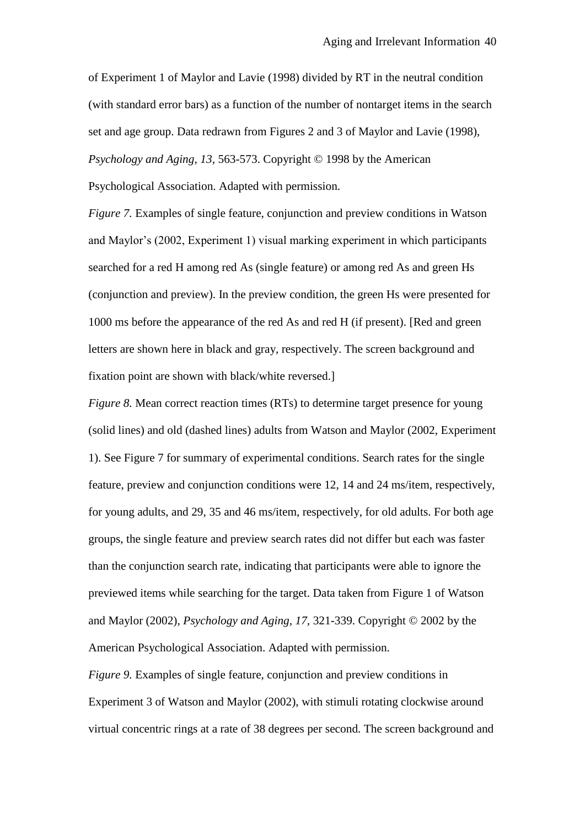of Experiment 1 of Maylor and Lavie (1998) divided by RT in the neutral condition (with standard error bars) as a function of the number of nontarget items in the search set and age group. Data redrawn from Figures 2 and 3 of Maylor and Lavie (1998), *Psychology and Aging, 13,* 563-573. Copyright © 1998 by the American Psychological Association. Adapted with permission.

*Figure 7.* Examples of single feature, conjunction and preview conditions in Watson and Maylor"s (2002, Experiment 1) visual marking experiment in which participants searched for a red H among red As (single feature) or among red As and green Hs (conjunction and preview). In the preview condition, the green Hs were presented for 1000 ms before the appearance of the red As and red H (if present). [Red and green letters are shown here in black and gray, respectively. The screen background and fixation point are shown with black/white reversed.]

*Figure 8.* Mean correct reaction times (RTs) to determine target presence for young (solid lines) and old (dashed lines) adults from Watson and Maylor (2002, Experiment 1). See Figure 7 for summary of experimental conditions. Search rates for the single feature, preview and conjunction conditions were 12, 14 and 24 ms/item, respectively, for young adults, and 29, 35 and 46 ms/item, respectively, for old adults. For both age groups, the single feature and preview search rates did not differ but each was faster than the conjunction search rate, indicating that participants were able to ignore the previewed items while searching for the target. Data taken from Figure 1 of Watson and Maylor (2002), *Psychology and Aging, 17,* 321-339. Copyright © 2002 by the American Psychological Association. Adapted with permission.

*Figure 9.* Examples of single feature, conjunction and preview conditions in Experiment 3 of Watson and Maylor (2002), with stimuli rotating clockwise around virtual concentric rings at a rate of 38 degrees per second. The screen background and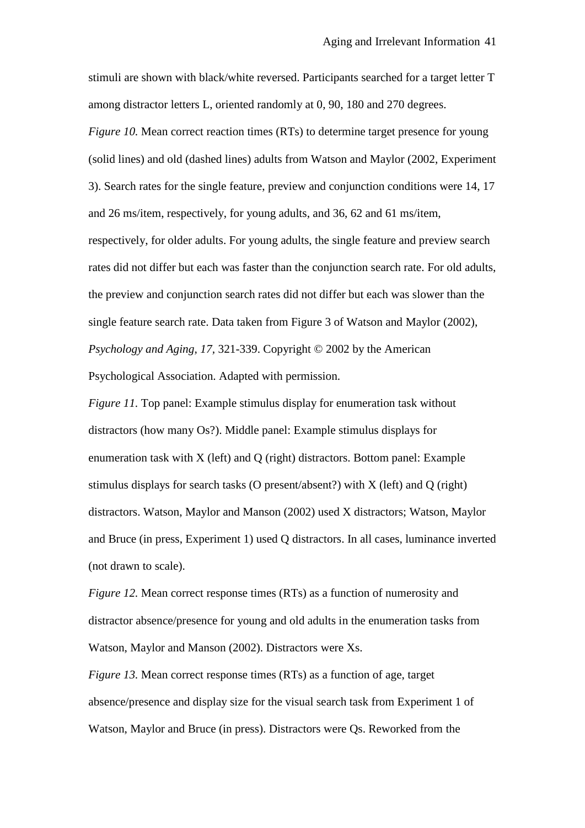stimuli are shown with black/white reversed. Participants searched for a target letter T among distractor letters L, oriented randomly at 0, 90, 180 and 270 degrees.

*Figure 10.* Mean correct reaction times (RTs) to determine target presence for young (solid lines) and old (dashed lines) adults from Watson and Maylor (2002, Experiment 3). Search rates for the single feature, preview and conjunction conditions were 14, 17 and 26 ms/item, respectively, for young adults, and 36, 62 and 61 ms/item, respectively, for older adults. For young adults, the single feature and preview search rates did not differ but each was faster than the conjunction search rate. For old adults, the preview and conjunction search rates did not differ but each was slower than the single feature search rate. Data taken from Figure 3 of Watson and Maylor (2002), *Psychology and Aging, 17,* 321-339. Copyright © 2002 by the American Psychological Association. Adapted with permission.

*Figure 11.* Top panel: Example stimulus display for enumeration task without distractors (how many Os?). Middle panel: Example stimulus displays for enumeration task with X (left) and Q (right) distractors. Bottom panel: Example stimulus displays for search tasks (O present/absent?) with X (left) and Q (right) distractors. Watson, Maylor and Manson (2002) used X distractors; Watson, Maylor and Bruce (in press, Experiment 1) used Q distractors. In all cases, luminance inverted (not drawn to scale).

*Figure 12.* Mean correct response times (RTs) as a function of numerosity and distractor absence/presence for young and old adults in the enumeration tasks from Watson, Maylor and Manson (2002). Distractors were Xs.

*Figure 13.* Mean correct response times (RTs) as a function of age, target absence/presence and display size for the visual search task from Experiment 1 of Watson, Maylor and Bruce (in press). Distractors were Qs. Reworked from the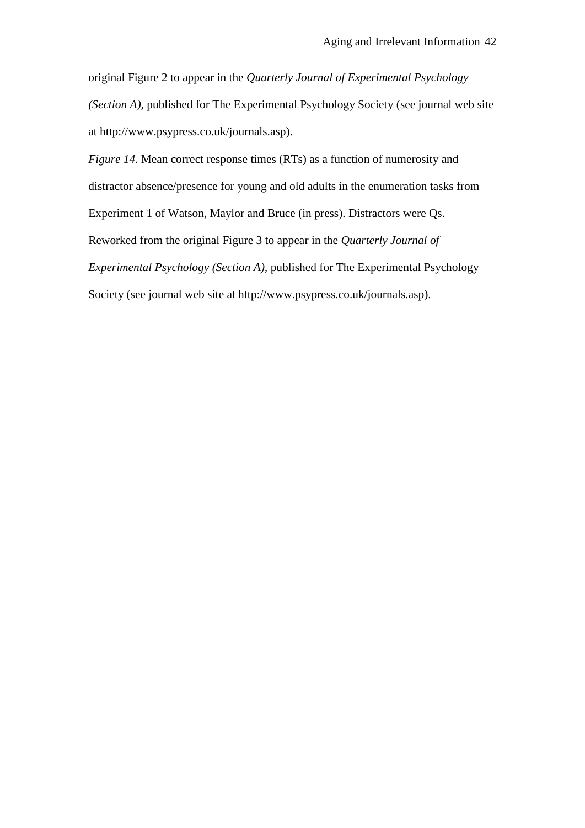original Figure 2 to appear in the *Quarterly Journal of Experimental Psychology (Section A),* published for The Experimental Psychology Society (see journal web site at http://www.psypress.co.uk/journals.asp).

*Figure 14.* Mean correct response times (RTs) as a function of numerosity and distractor absence/presence for young and old adults in the enumeration tasks from Experiment 1 of Watson, Maylor and Bruce (in press). Distractors were Qs. Reworked from the original Figure 3 to appear in the *Quarterly Journal of Experimental Psychology (Section A),* published for The Experimental Psychology Society (see journal web site at http://www.psypress.co.uk/journals.asp).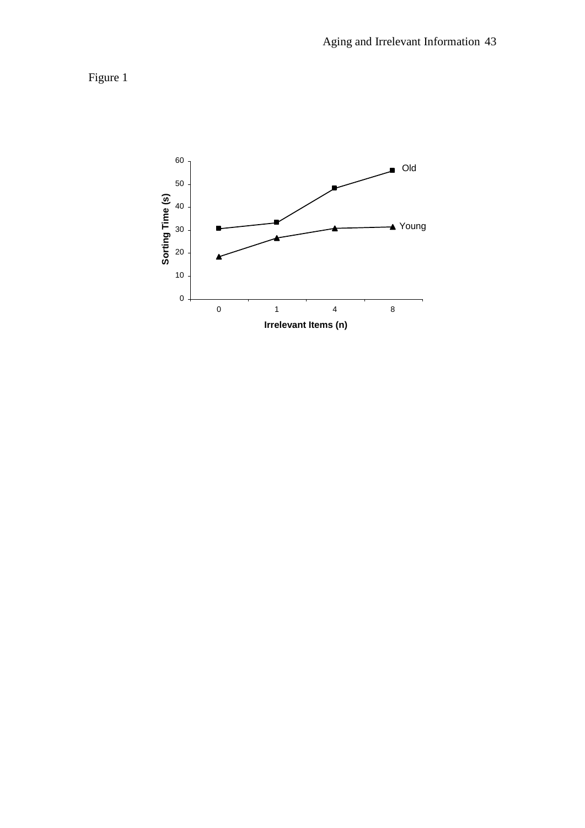Figure 1

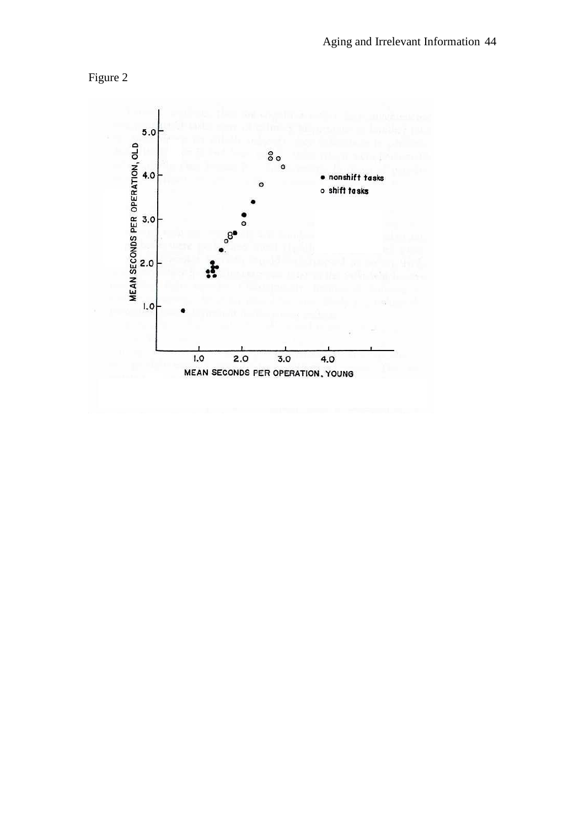

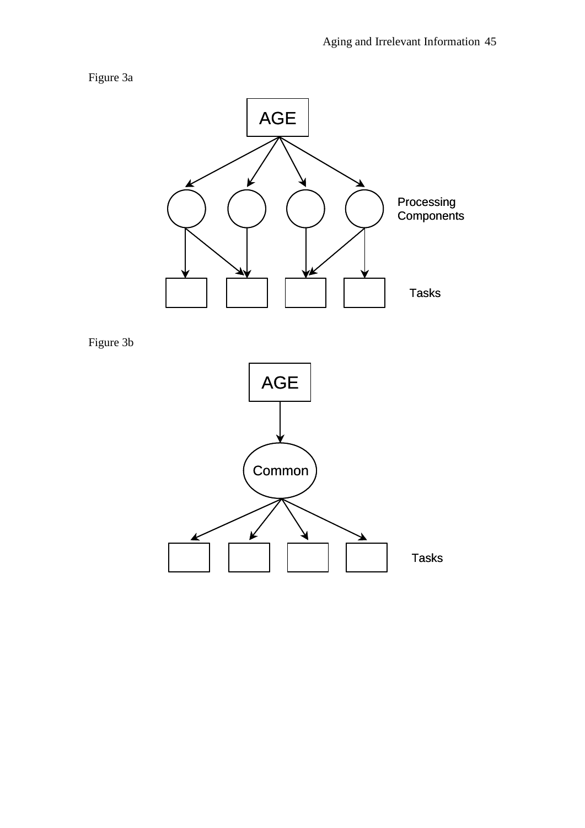# Figure 3a



Figure 3b

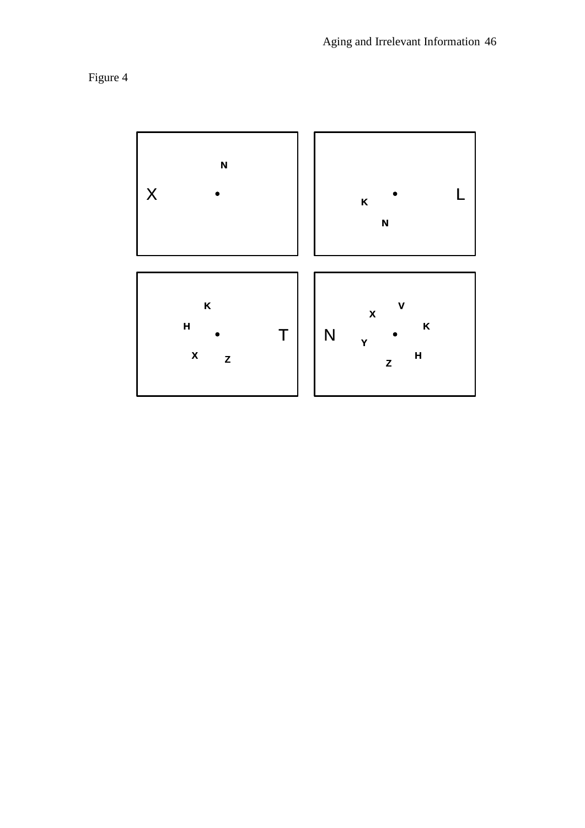

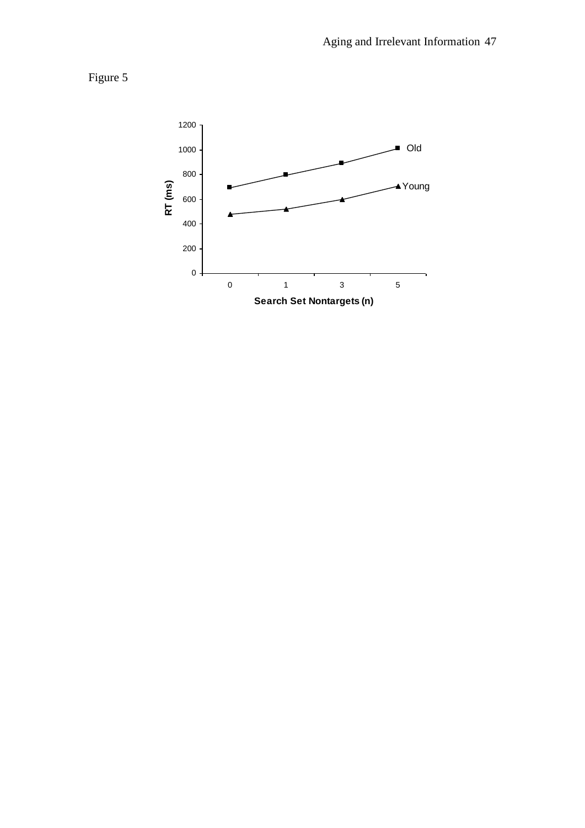Figure 5

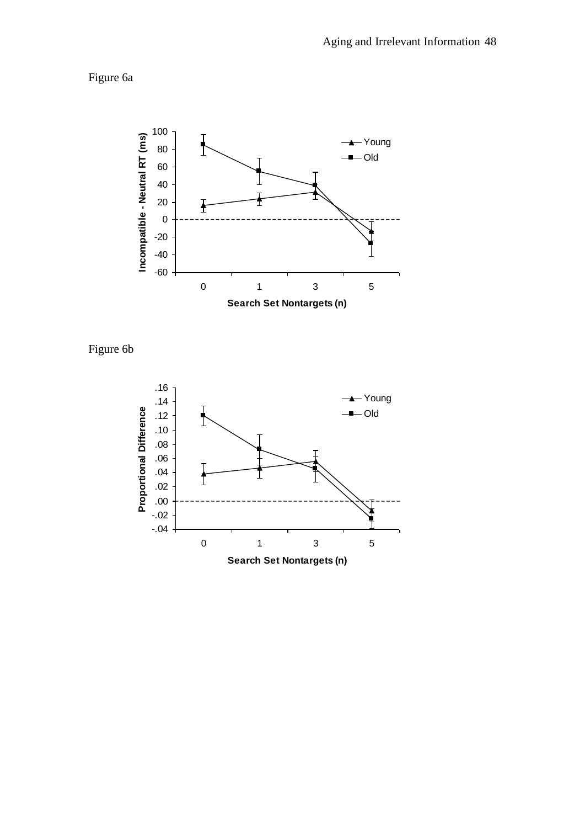Figure 6a



Figure 6b

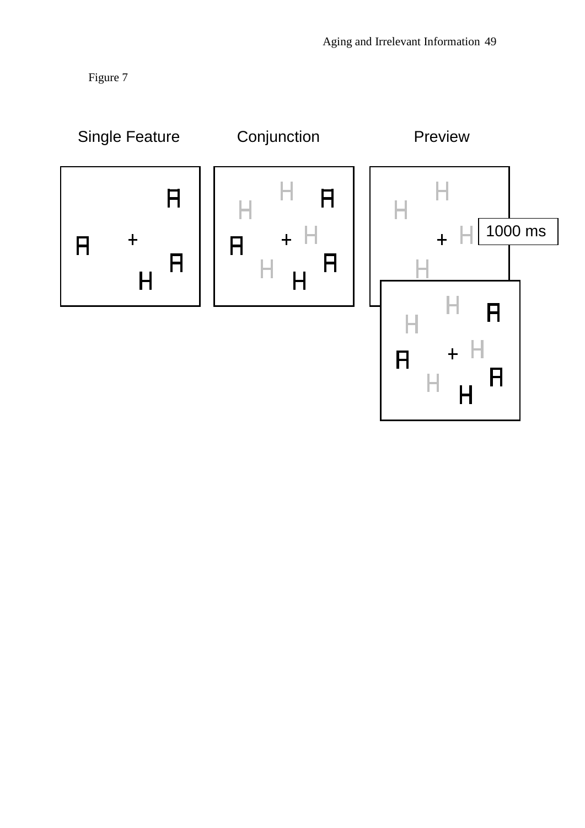Figure 7

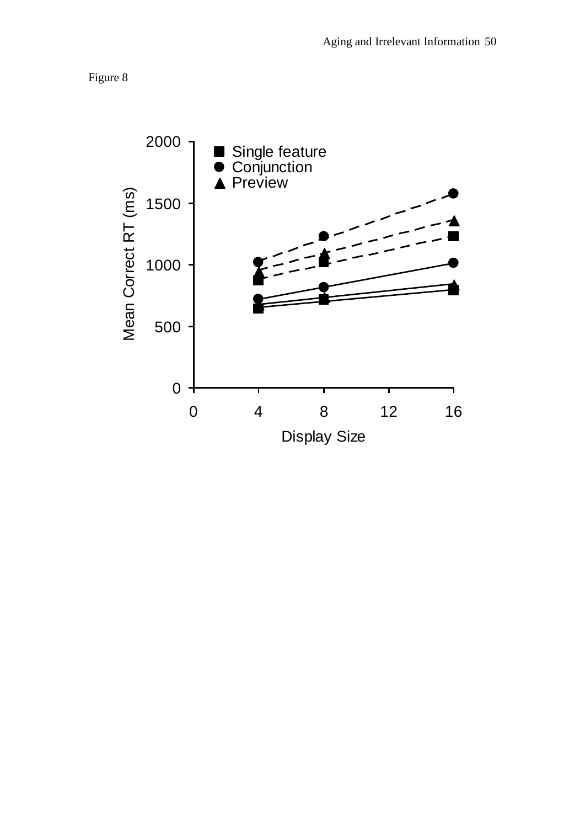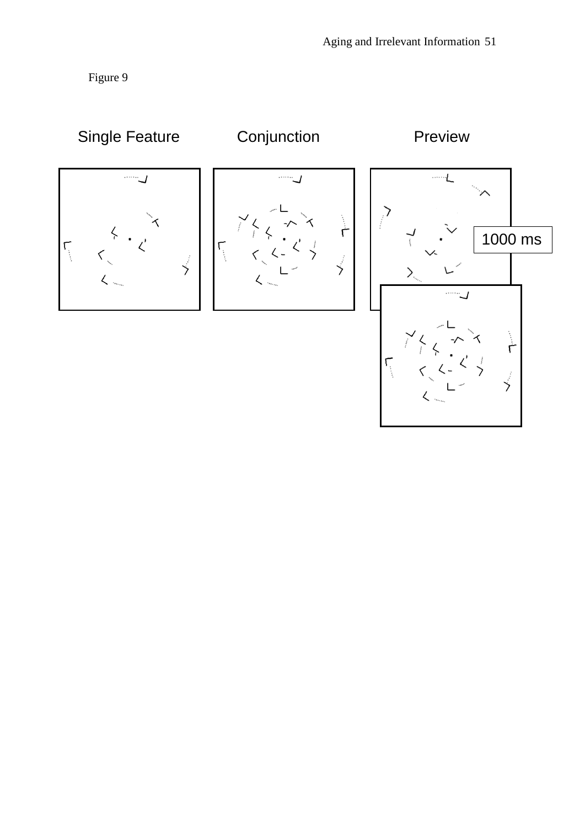Figure 9

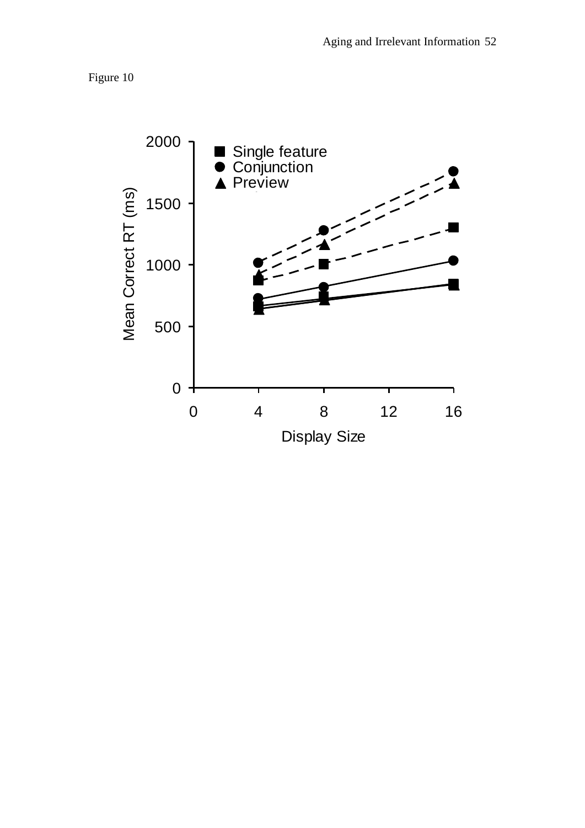

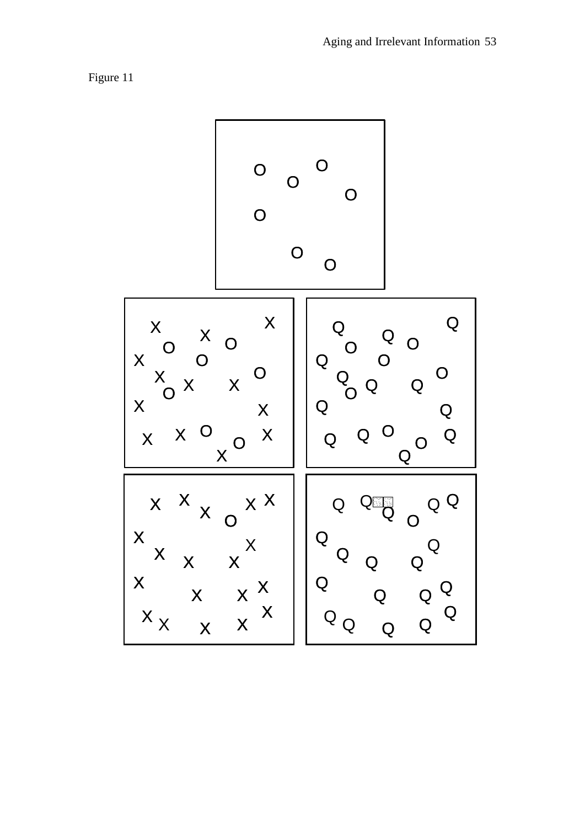

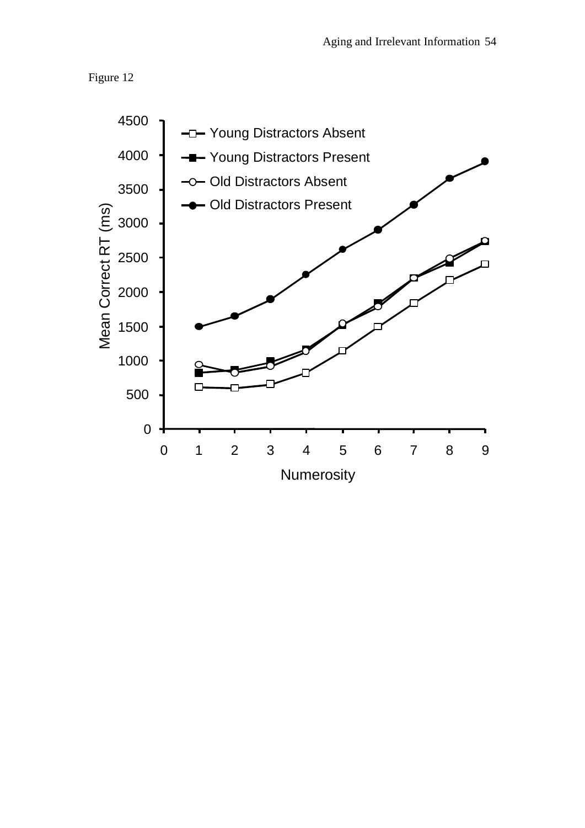

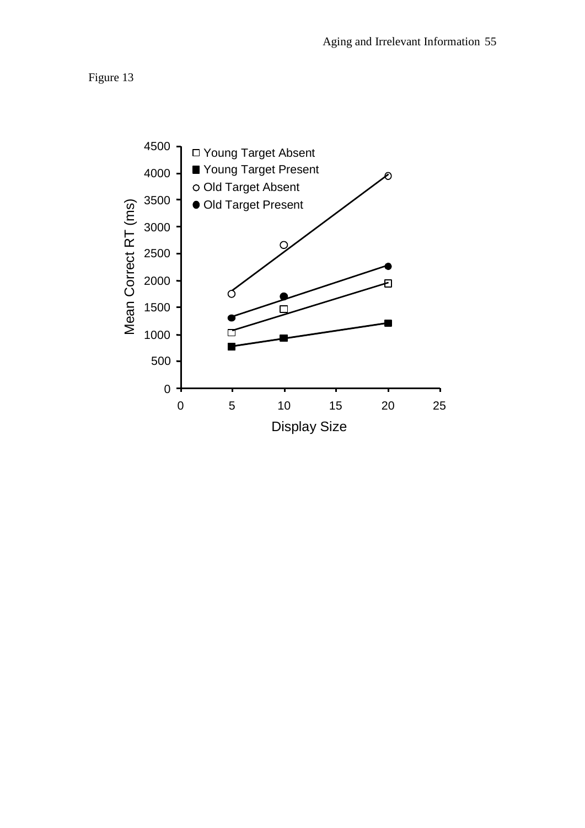